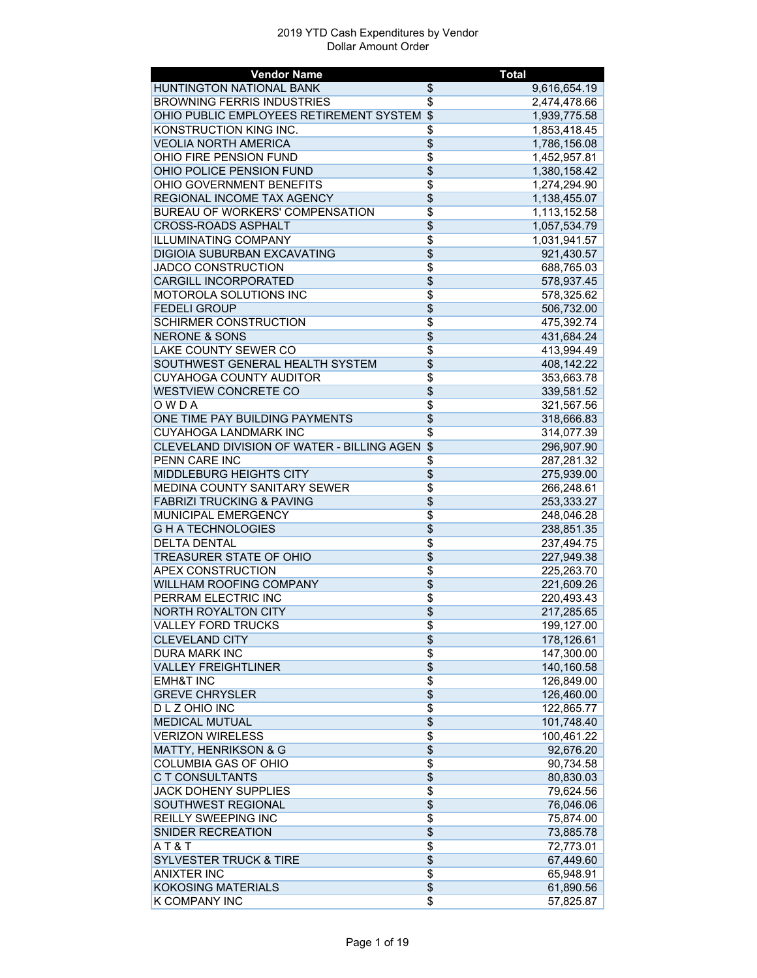| <b>Vendor Name</b>                         |                                    | <b>Total</b> |
|--------------------------------------------|------------------------------------|--------------|
| HUNTINGTON NATIONAL BANK                   | \$                                 | 9,616,654.19 |
| <b>BROWNING FERRIS INDUSTRIES</b>          | \$                                 | 2,474,478.66 |
| OHIO PUBLIC EMPLOYEES RETIREMENT SYSTEM \$ |                                    | 1,939,775.58 |
| KONSTRUCTION KING INC.                     | $\overline{\$}$                    | 1,853,418.45 |
| <b>VEOLIA NORTH AMERICA</b>                | $\overline{\$}$                    | 1,786,156.08 |
| OHIO FIRE PENSION FUND                     | $\overline{\$}$                    | 1,452,957.81 |
| OHIO POLICE PENSION FUND                   | $\overline{\$}$                    | 1,380,158.42 |
| OHIO GOVERNMENT BENEFITS                   | \$                                 | 1,274,294.90 |
| <b>REGIONAL INCOME TAX AGENCY</b>          | $\overline{\$}$                    | 1,138,455.07 |
| <b>BUREAU OF WORKERS' COMPENSATION</b>     | $\overline{\$}$                    | 1,113,152.58 |
| <b>CROSS-ROADS ASPHALT</b>                 | $\overline{\$}$                    | 1,057,534.79 |
| <b>ILLUMINATING COMPANY</b>                | $\overline{\$}$                    | 1,031,941.57 |
| DIGIOIA SUBURBAN EXCAVATING                | $\overline{\$}$                    | 921,430.57   |
| <b>JADCO CONSTRUCTION</b>                  | $\overline{\$}$                    | 688,765.03   |
| <b>CARGILL INCORPORATED</b>                | $\overline{\$}$                    | 578,937.45   |
| MOTOROLA SOLUTIONS INC                     | $\overline{\$}$                    | 578,325.62   |
| <b>FEDELI GROUP</b>                        | \$                                 | 506,732.00   |
| SCHIRMER CONSTRUCTION                      | $\overline{\$}$                    | 475,392.74   |
| <b>NERONE &amp; SONS</b>                   | $\overline{\$}$                    | 431,684.24   |
| <b>LAKE COUNTY SEWER CO</b>                | $\overline{\$}$                    | 413,994.49   |
| SOUTHWEST GENERAL HEALTH SYSTEM            | $\overline{\$}$                    | 408,142.22   |
| <b>CUYAHOGA COUNTY AUDITOR</b>             | \$                                 | 353,663.78   |
| <b>WESTVIEW CONCRETE CO</b>                | $\overline{\$}$                    | 339,581.52   |
| $\overline{OWDA}$                          | \$                                 |              |
|                                            |                                    | 321,567.56   |
| ONE TIME PAY BUILDING PAYMENTS             | $\overline{\$}$<br>$\overline{\$}$ | 318,666.83   |
| <b>CUYAHOGA LANDMARK INC</b>               |                                    | 314,077.39   |
| CLEVELAND DIVISION OF WATER - BILLING AGEN | $\overline{\mathcal{L}}$           | 296,907.90   |
| PENN CARE INC                              | \$                                 | 287,281.32   |
| MIDDLEBURG HEIGHTS CITY                    | \$                                 | 275,939.00   |
| MEDINA COUNTY SANITARY SEWER               | $\overline{\$}$                    | 266,248.61   |
| <b>FABRIZI TRUCKING &amp; PAVING</b>       | $\overline{\$}$                    | 253,333.27   |
| MUNICIPAL EMERGENCY                        | $\overline{\$}$                    | 248,046.28   |
| <b>GHATECHNOLOGIES</b>                     | $\overline{\$}$                    | 238,851.35   |
| <b>DELTA DENTAL</b>                        | $\overline{\$}$                    | 237,494.75   |
| TREASURER STATE OF OHIO                    | $\overline{\$}$                    | 227,949.38   |
| <b>APEX CONSTRUCTION</b>                   | $\overline{\$}$                    | 225,263.70   |
| <b>WILLHAM ROOFING COMPANY</b>             | \$                                 | 221,609.26   |
| PERRAM ELECTRIC INC                        | \$                                 | 220,493.43   |
| <b>NORTH ROYALTON CITY</b>                 | \$                                 | 217,285.65   |
| <b>VALLEY FORD TRUCKS</b>                  | \$                                 | 199,127.00   |
| CLEVELAND CITY                             | \$                                 | 178,126.61   |
| <b>DURA MARK INC</b>                       | \$                                 | 147,300.00   |
| <b>VALLEY FREIGHTLINER</b>                 | \$                                 | 140,160.58   |
| <b>EMH&amp;T INC</b>                       | \$                                 | 126,849.00   |
| <b>GREVE CHRYSLER</b>                      | \$                                 | 126,460.00   |
| D L Z OHIO INC                             | \$                                 | 122,865.77   |
| <b>MEDICAL MUTUAL</b>                      | \$                                 | 101,748.40   |
| <b>VERIZON WIRELESS</b>                    | $\overline{\$}$                    | 100,461.22   |
| <b>MATTY, HENRIKSON &amp; G</b>            | \$                                 | 92,676.20    |
| <b>COLUMBIA GAS OF OHIO</b>                | \$                                 | 90,734.58    |
| C T CONSULTANTS                            | $\overline{\$}$                    | 80,830.03    |
| JACK DOHENY SUPPLIES                       | \$                                 | 79,624.56    |
| SOUTHWEST REGIONAL                         | \$                                 | 76,046.06    |
| <b>REILLY SWEEPING INC</b>                 | \$                                 | 75,874.00    |
| SNIDER RECREATION                          | \$                                 | 73,885.78    |
| AT&T                                       | \$                                 | 72,773.01    |
| <b>SYLVESTER TRUCK &amp; TIRE</b>          | \$                                 | 67,449.60    |
| <b>ANIXTER INC</b>                         | \$                                 | 65,948.91    |
| <b>KOKOSING MATERIALS</b>                  | \$                                 | 61,890.56    |
| K COMPANY INC                              | $\overline{\$}$                    | 57,825.87    |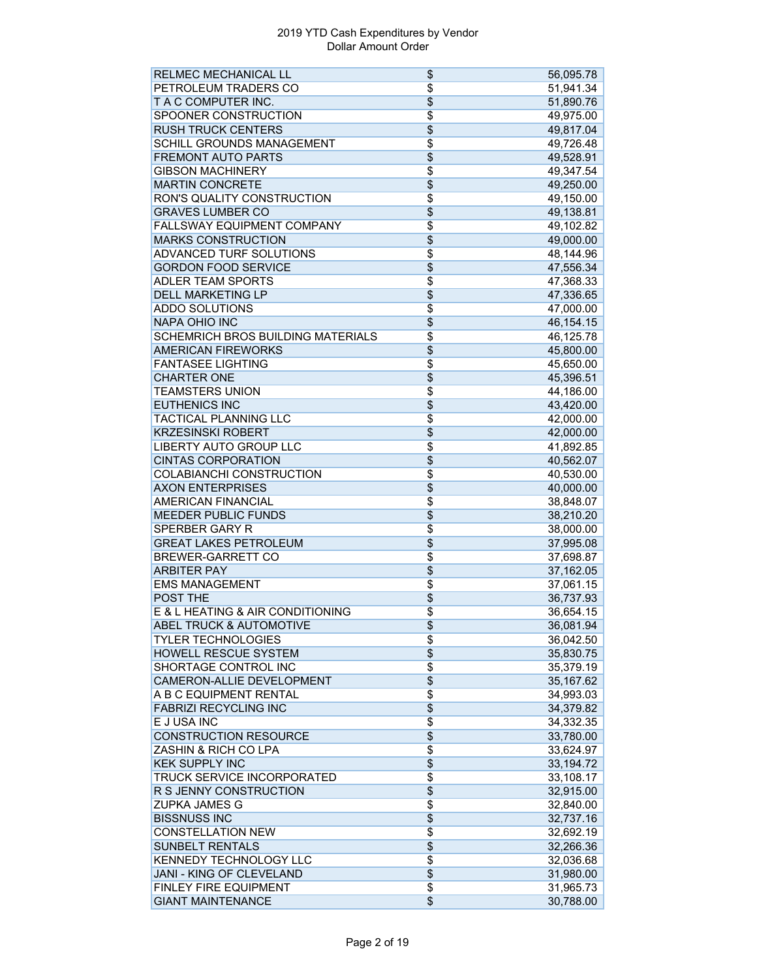| RELMEC MECHANICAL LL               | \$                       | 56,095.78 |
|------------------------------------|--------------------------|-----------|
| PETROLEUM TRADERS CO               | \$                       | 51,941.34 |
| T A C COMPUTER INC.                | \$                       | 51,890.76 |
| SPOONER CONSTRUCTION               | \$                       | 49,975.00 |
| <b>RUSH TRUCK CENTERS</b>          | \$                       | 49,817.04 |
| SCHILL GROUNDS MANAGEMENT          | $\overline{\$}$          | 49,726.48 |
| <b>FREMONT AUTO PARTS</b>          | \$                       | 49,528.91 |
| <b>GIBSON MACHINERY</b>            | \$                       | 49,347.54 |
| <b>MARTIN CONCRETE</b>             | \$                       | 49,250.00 |
| RON'S QUALITY CONSTRUCTION         | \$                       | 49,150.00 |
| <b>GRAVES LUMBER CO</b>            | $\overline{\$}$          | 49,138.81 |
| FALLSWAY EQUIPMENT COMPANY         | \$                       | 49,102.82 |
| <b>MARKS CONSTRUCTION</b>          | \$                       | 49,000.00 |
| ADVANCED TURF SOLUTIONS            | $\overline{\$}$          | 48,144.96 |
| <b>GORDON FOOD SERVICE</b>         | \$                       | 47,556.34 |
| <b>ADLER TEAM SPORTS</b>           | \$                       | 47,368.33 |
| <b>DELL MARKETING LP</b>           | \$                       | 47,336.65 |
| <b>ADDO SOLUTIONS</b>              | \$                       | 47,000.00 |
| <b>NAPA OHIO INC</b>               | \$                       | 46,154.15 |
| SCHEMRICH BROS BUILDING MATERIALS  | $\overline{\$}$          | 46,125.78 |
| <b>AMERICAN FIREWORKS</b>          | \$                       | 45,800.00 |
| <b>FANTASEE LIGHTING</b>           | \$                       | 45,650.00 |
| <b>CHARTER ONE</b>                 | \$                       | 45,396.51 |
| <b>TEAMSTERS UNION</b>             |                          |           |
| <b>EUTHENICS INC</b>               | \$                       | 44,186.00 |
|                                    | $\overline{\$}$          | 43,420.00 |
| TACTICAL PLANNING LLC              | \$                       | 42,000.00 |
| <b>KRZESINSKI ROBERT</b>           | \$                       | 42,000.00 |
| <b>LIBERTY AUTO GROUP LLC</b>      | $\overline{\$}$          | 41,892.85 |
| <b>CINTAS CORPORATION</b>          | \$                       | 40,562.07 |
| COLABIANCHI CONSTRUCTION           | $\overline{\$}$          | 40,530.00 |
| <b>AXON ENTERPRISES</b>            | \$                       | 40,000.00 |
| AMERICAN FINANCIAL                 | \$                       | 38,848.07 |
| <b>MEEDER PUBLIC FUNDS</b>         | \$                       | 38,210.20 |
| SPERBER GARY R                     | \$                       | 38,000.00 |
| <b>GREAT LAKES PETROLEUM</b>       | \$                       | 37,995.08 |
| BREWER-GARRETT CO                  | $\overline{\$}$          | 37,698.87 |
| <b>ARBITER PAY</b>                 | $\overline{\$}$          | 37,162.05 |
| <b>EMS MANAGEMENT</b>              | \$                       | 37,061.15 |
| <b>POST THE</b>                    | $\overline{\$}$          | 36,737.93 |
| E & L HEATING & AIR CONDITIONING   | \$                       | 36,654.15 |
| <b>ABEL TRUCK &amp; AUTOMOTIVE</b> | \$                       | 36,081.94 |
| <b>TYLER TECHNOLOGIES</b>          | \$                       | 36,042.50 |
| <b>HOWELL RESCUE SYSTEM</b>        | $\overline{\$}$          | 35,830.75 |
| SHORTAGE CONTROL INC               | \$                       | 35,379.19 |
| CAMERON-ALLIE DEVELOPMENT          | $\overline{\$}$          | 35,167.62 |
| A B C EQUIPMENT RENTAL             | $\overline{\$}$          | 34,993.03 |
| <b>FABRIZI RECYCLING INC</b>       | \$                       | 34,379.82 |
| E J USA INC                        | $\overline{\$}$          | 34,332.35 |
| <b>CONSTRUCTION RESOURCE</b>       | \$                       | 33,780.00 |
| ZASHIN & RICH CO LPA               | \$                       | 33,624.97 |
| <b>KEK SUPPLY INC</b>              | \$                       | 33,194.72 |
| TRUCK SERVICE INCORPORATED         | $\overline{\$}$          | 33,108.17 |
| R S JENNY CONSTRUCTION             | $\overline{\$}$          | 32,915.00 |
| <b>ZUPKA JAMES G</b>               | $\overline{\$}$          | 32,840.00 |
| <b>BISSNUSS INC</b>                | \$                       | 32,737.16 |
| <b>CONSTELLATION NEW</b>           | \$                       | 32,692.19 |
| SUNBELT RENTALS                    | \$                       | 32,266.36 |
| <b>KENNEDY TECHNOLOGY LLC</b>      | \$                       | 32,036.68 |
| JANI - KING OF CLEVELAND           | $\overline{\$}$          | 31,980.00 |
| <b>FINLEY FIRE EQUIPMENT</b>       | \$                       | 31,965.73 |
| <b>GIANT MAINTENANCE</b>           | $\overline{\mathcal{L}}$ | 30,788.00 |
|                                    |                          |           |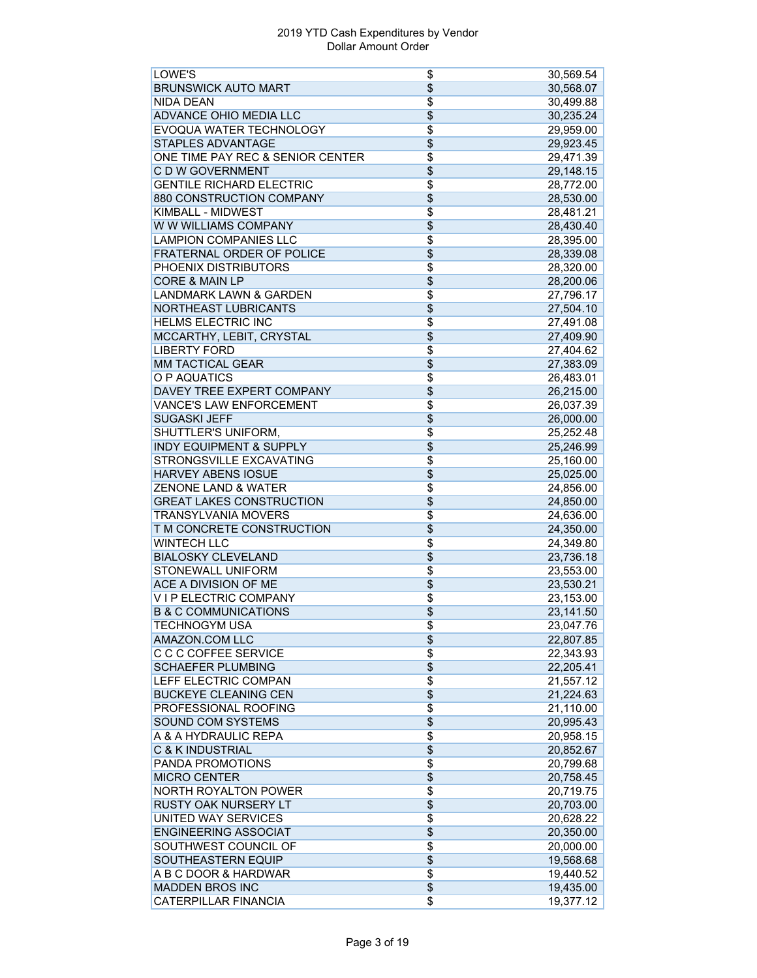| LOWE'S                             | \$              | 30,569.54 |
|------------------------------------|-----------------|-----------|
| <b>BRUNSWICK AUTO MART</b>         | \$              | 30,568.07 |
| <b>NIDA DEAN</b>                   | \$              | 30,499.88 |
| ADVANCE OHIO MEDIA LLC             | $\overline{\$}$ | 30,235.24 |
| EVOQUA WATER TECHNOLOGY            | \$              | 29,959.00 |
| <b>STAPLES ADVANTAGE</b>           | \$              | 29,923.45 |
| ONE TIME PAY REC & SENIOR CENTER   | \$              | 29,471.39 |
| C D W GOVERNMENT                   | \$              | 29,148.15 |
| <b>GENTILE RICHARD ELECTRIC</b>    | $\overline{\$}$ | 28,772.00 |
| 880 CONSTRUCTION COMPANY           | $\overline{\$}$ | 28,530.00 |
| <b>KIMBALL - MIDWEST</b>           | $\overline{\$}$ | 28,481.21 |
| W W WILLIAMS COMPANY               | \$              | 28,430.40 |
| <b>LAMPION COMPANIES LLC</b>       | \$              |           |
| FRATERNAL ORDER OF POLICE          | $\overline{\$}$ | 28,395.00 |
| PHOENIX DISTRIBUTORS               | $\overline{\$}$ | 28,339.08 |
|                                    |                 | 28,320.00 |
| <b>CORE &amp; MAIN LP</b>          | \$              | 28,200.06 |
| <b>LANDMARK LAWN &amp; GARDEN</b>  | $\overline{\$}$ | 27,796.17 |
| NORTHEAST LUBRICANTS               | \$              | 27,504.10 |
| <b>HELMS ELECTRIC INC</b>          | \$              | 27,491.08 |
| MCCARTHY, LEBIT, CRYSTAL           | $\overline{\$}$ | 27,409.90 |
| <b>LIBERTY FORD</b>                | \$              | 27,404.62 |
| <b>MM TACTICAL GEAR</b>            | $\overline{\$}$ | 27,383.09 |
| O P AQUATICS                       | $\overline{\$}$ | 26,483.01 |
| DAVEY TREE EXPERT COMPANY          | $\overline{\$}$ | 26,215.00 |
| <b>VANCE'S LAW ENFORCEMENT</b>     | \$              | 26,037.39 |
| <b>SUGASKI JEFF</b>                | \$              | 26,000.00 |
| SHUTTLER'S UNIFORM,                | \$              | 25,252.48 |
| <b>INDY EQUIPMENT &amp; SUPPLY</b> | $\overline{\$}$ | 25,246.99 |
| STRONGSVILLE EXCAVATING            | $\overline{\$}$ | 25,160.00 |
| <b>HARVEY ABENS IOSUE</b>          | $\overline{\$}$ | 25,025.00 |
| <b>ZENONE LAND &amp; WATER</b>     | $\overline{\$}$ | 24,856.00 |
| <b>GREAT LAKES CONSTRUCTION</b>    | $\overline{\$}$ | 24,850.00 |
| <b>TRANSYLVANIA MOVERS</b>         | \$              | 24,636.00 |
| T M CONCRETE CONSTRUCTION          | \$              | 24,350.00 |
| <b>WINTECH LLC</b>                 | \$              | 24,349.80 |
| <b>BIALOSKY CLEVELAND</b>          | $\overline{\$}$ | 23,736.18 |
| STONEWALL UNIFORM                  | $\overline{\$}$ | 23,553.00 |
| ACE A DIVISION OF ME               | $\overline{\$}$ | 23,530.21 |
| <b>VIP ELECTRIC COMPANY</b>        | \$              | 23,153.00 |
| <b>B &amp; C COMMUNICATIONS</b>    | \$              | 23,141.50 |
|                                    |                 |           |
| TECHNOGYM USA                      | \$              | 23,047.76 |
| <b>AMAZON.COM LLC</b>              | \$              | 22,807.85 |
| C C C COFFEE SERVICE               | \$              | 22,343.93 |
| <b>SCHAEFER PLUMBING</b>           | \$              | 22,205.41 |
| LEFF ELECTRIC COMPAN               | \$              | 21,557.12 |
| <b>BUCKEYE CLEANING CEN</b>        | \$              | 21,224.63 |
| PROFESSIONAL ROOFING               | $\overline{\$}$ | 21,110.00 |
| <b>SOUND COM SYSTEMS</b>           | \$              | 20,995.43 |
| A & A HYDRAULIC REPA               | \$              | 20,958.15 |
| <b>C &amp; K INDUSTRIAL</b>        | \$              | 20,852.67 |
| PANDA PROMOTIONS                   | \$              | 20,799.68 |
| <b>MICRO CENTER</b>                | \$              | 20,758.45 |
| <b>NORTH ROYALTON POWER</b>        | \$              | 20,719.75 |
| <b>RUSTY OAK NURSERY LT</b>        | $\overline{\$}$ | 20,703.00 |
| UNITED WAY SERVICES                | \$              | 20,628.22 |
| <b>ENGINEERING ASSOCIAT</b>        | \$              | 20,350.00 |
| SOUTHWEST COUNCIL OF               | \$              | 20,000.00 |
| SOUTHEASTERN EQUIP                 | $\overline{\$}$ | 19,568.68 |
| A B C DOOR & HARDWAR               | $\overline{\$}$ | 19,440.52 |
| <b>MADDEN BROS INC</b>             | \$              | 19,435.00 |
| CATERPILLAR FINANCIA               | \$              | 19,377.12 |
|                                    |                 |           |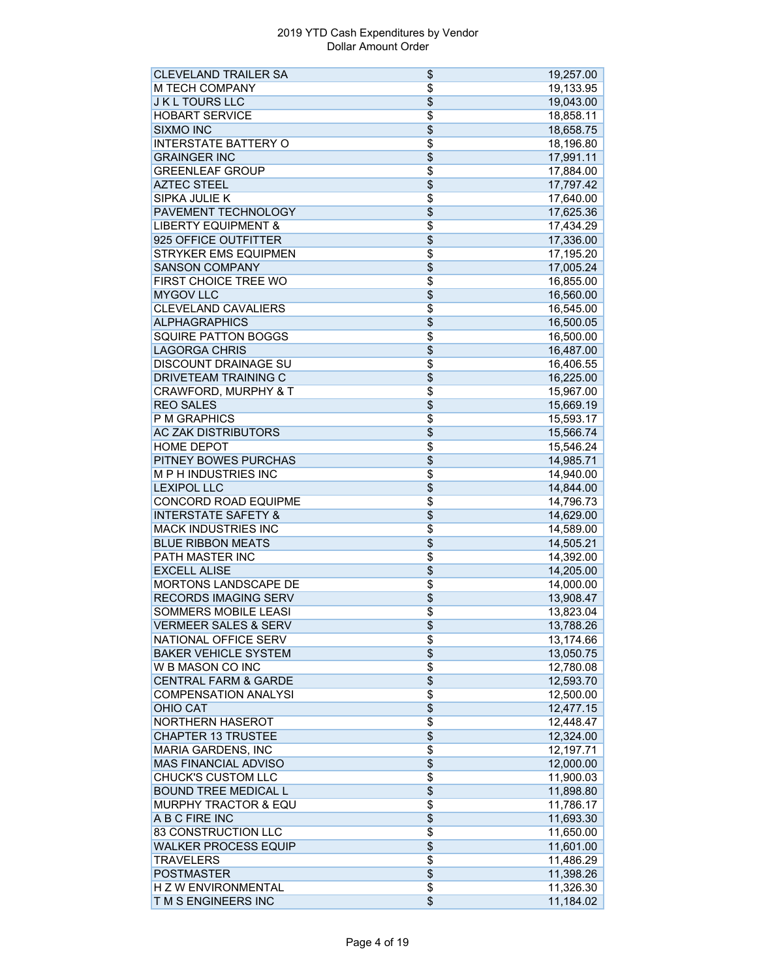| <b>CLEVELAND TRAILER SA</b>     | \$              | 19,257.00 |
|---------------------------------|-----------------|-----------|
| <b>M TECH COMPANY</b>           | \$              | 19,133.95 |
| <b>JKL TOURS LLC</b>            | \$              | 19,043.00 |
| <b>HOBART SERVICE</b>           | $\overline{\$}$ | 18,858.11 |
| <b>SIXMO INC</b>                | \$              | 18,658.75 |
| <b>INTERSTATE BATTERY O</b>     | $\overline{\$}$ | 18,196.80 |
| <b>GRAINGER INC</b>             | \$              | 17,991.11 |
| <b>GREENLEAF GROUP</b>          | $\overline{\$}$ | 17,884.00 |
| <b>AZTEC STEEL</b>              | $\overline{\$}$ | 17,797.42 |
| SIPKA JULIE K                   | \$              | 17,640.00 |
| PAVEMENT TECHNOLOGY             | $\overline{\$}$ | 17,625.36 |
| <b>LIBERTY EQUIPMENT &amp;</b>  | \$              | 17,434.29 |
| 925 OFFICE OUTFITTER            | $\overline{\$}$ | 17,336.00 |
| <b>STRYKER EMS EQUIPMEN</b>     | $\overline{\$}$ | 17,195.20 |
| <b>SANSON COMPANY</b>           | \$              | 17,005.24 |
| FIRST CHOICE TREE WO            | \$              | 16,855.00 |
| <b>MYGOV LLC</b>                | $\overline{\$}$ | 16,560.00 |
| <b>CLEVELAND CAVALIERS</b>      | \$              | 16,545.00 |
| <b>ALPHAGRAPHICS</b>            | \$              | 16,500.05 |
| <b>SQUIRE PATTON BOGGS</b>      | $\overline{\$}$ | 16,500.00 |
| <b>LAGORGA CHRIS</b>            | $\overline{\$}$ | 16,487.00 |
| DISCOUNT DRAINAGE SU            | \$              | 16,406.55 |
| <b>DRIVETEAM TRAINING C</b>     | $\overline{\$}$ | 16,225.00 |
|                                 |                 |           |
| CRAWFORD, MURPHY & T            | \$              | 15,967.00 |
| <b>REO SALES</b>                | $\overline{\$}$ | 15,669.19 |
| P M GRAPHICS                    | \$              | 15,593.17 |
| <b>AC ZAK DISTRIBUTORS</b>      | $\overline{\$}$ | 15,566.74 |
| <b>HOME DEPOT</b>               | $\overline{\$}$ | 15,546.24 |
| PITNEY BOWES PURCHAS            | $\overline{\$}$ | 14,985.71 |
| <b>MPH INDUSTRIES INC</b>       | \$              | 14,940.00 |
| <b>LEXIPOL LLC</b>              | \$              | 14,844.00 |
| <b>CONCORD ROAD EQUIPME</b>     | \$              | 14,796.73 |
| <b>INTERSTATE SAFETY &amp;</b>  | \$              | 14,629.00 |
| MACK INDUSTRIES INC             | \$              | 14,589.00 |
| <b>BLUE RIBBON MEATS</b>        | \$              | 14,505.21 |
| <b>PATH MASTER INC</b>          | $\overline{\$}$ | 14,392.00 |
| <b>EXCELL ALISE</b>             | $\overline{\$}$ | 14,205.00 |
| MORTONS LANDSCAPE DE            | \$              | 14,000.00 |
| <b>RECORDS IMAGING SERV</b>     | \$              | 13,908.47 |
| SOMMERS MOBILE LEASI            | \$              | 13,823.04 |
| <b>VERMEER SALES &amp; SERV</b> | \$              | 13,788.26 |
| NATIONAL OFFICE SERV            | \$              | 13,174.66 |
| <b>BAKER VEHICLE SYSTEM</b>     | \$              | 13,050.75 |
| W B MASON CO INC                | \$              | 12,780.08 |
| <b>CENTRAL FARM &amp; GARDE</b> | \$              | 12,593.70 |
| <b>COMPENSATION ANALYSI</b>     | \$              | 12,500.00 |
| <b>OHIO CAT</b>                 | \$              | 12,477.15 |
| <b>NORTHERN HASEROT</b>         | $\overline{\$}$ | 12,448.47 |
| <b>CHAPTER 13 TRUSTEE</b>       | \$              | 12,324.00 |
| MARIA GARDENS, INC              | \$              | 12,197.71 |
| MAS FINANCIAL ADVISO            | \$              | 12,000.00 |
| <b>CHUCK'S CUSTOM LLC</b>       | $\overline{\$}$ | 11,900.03 |
| <b>BOUND TREE MEDICAL L</b>     | \$              | 11,898.80 |
| <b>MURPHY TRACTOR &amp; EQU</b> | \$              | 11,786.17 |
| A B C FIRE INC                  | \$              | 11,693.30 |
| 83 CONSTRUCTION LLC             | \$              | 11,650.00 |
| <b>WALKER PROCESS EQUIP</b>     | \$              | 11,601.00 |
| <b>TRAVELERS</b>                | \$              | 11,486.29 |
| <b>POSTMASTER</b>               | $\overline{\$}$ | 11,398.26 |
| H Z W ENVIRONMENTAL             | \$              | 11,326.30 |
| T M S ENGINEERS INC             | $\overline{\$}$ | 11,184.02 |
|                                 |                 |           |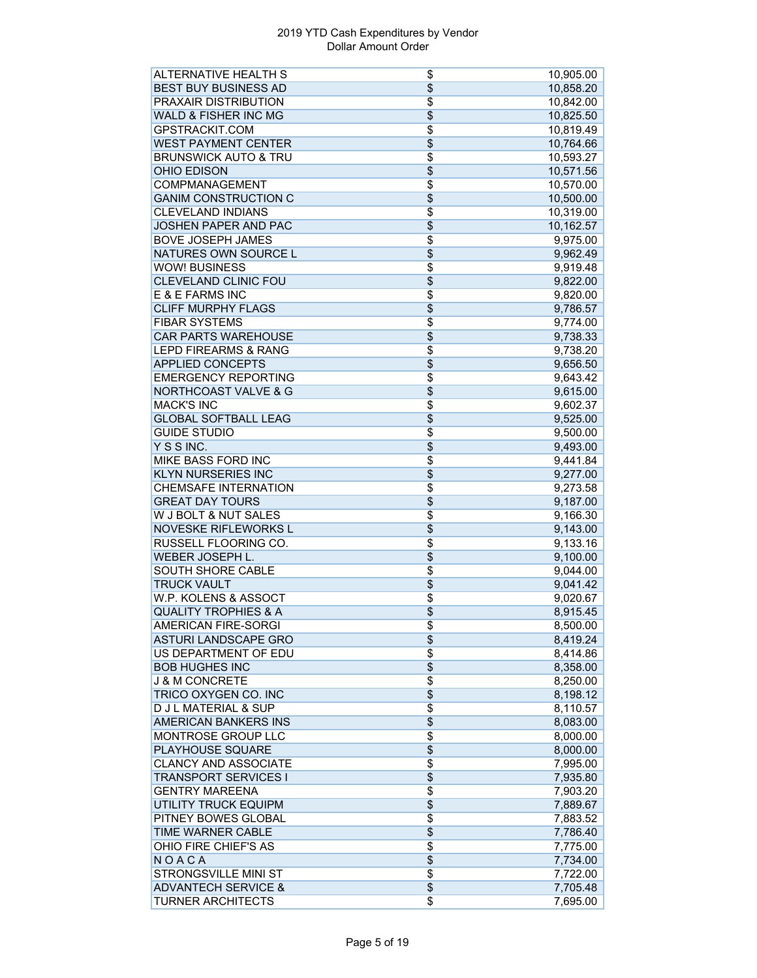| <b>ALTERNATIVE HEALTH S</b>     | \$              | 10,905.00            |
|---------------------------------|-----------------|----------------------|
| <b>BEST BUY BUSINESS AD</b>     | \$              | 10,858.20            |
| <b>PRAXAIR DISTRIBUTION</b>     | \$              | 10,842.00            |
| <b>WALD &amp; FISHER INC MG</b> | $\overline{\$}$ | 10,825.50            |
| GPSTRACKIT.COM                  | \$              | 10,819.49            |
| <b>WEST PAYMENT CENTER</b>      | $\overline{\$}$ | 10,764.66            |
| <b>BRUNSWICK AUTO &amp; TRU</b> | $\overline{\$}$ | 10,593.27            |
| <b>OHIO EDISON</b>              | \$              | 10,571.56            |
| COMPMANAGEMENT                  | \$              | 10,570.00            |
| <b>GANIM CONSTRUCTION C</b>     | \$              | 10,500.00            |
| <b>CLEVELAND INDIANS</b>        | \$              | 10,319.00            |
| <b>JOSHEN PAPER AND PAC</b>     | \$              | 10,162.57            |
| <b>BOVE JOSEPH JAMES</b>        | \$              | 9,975.00             |
| NATURES OWN SOURCE L            | \$              | 9,962.49             |
| <b>WOW! BUSINESS</b>            | \$              | 9,919.48             |
| <b>CLEVELAND CLINIC FOU</b>     | $\overline{\$}$ | 9,822.00             |
| E & E FARMS INC                 | $\overline{\$}$ | 9,820.00             |
| <b>CLIFF MURPHY FLAGS</b>       | \$              | 9,786.57             |
| <b>FIBAR SYSTEMS</b>            | \$              | 9,774.00             |
| <b>CAR PARTS WAREHOUSE</b>      | \$              | 9,738.33             |
| <b>LEPD FIREARMS &amp; RANG</b> | \$              | 9,738.20             |
| <b>APPLIED CONCEPTS</b>         | \$              |                      |
|                                 |                 | 9,656.50             |
| <b>EMERGENCY REPORTING</b>      | \$              | 9,643.42             |
| <b>NORTHCOAST VALVE &amp; G</b> | $\overline{\$}$ | 9,615.00             |
| <b>MACK'S INC</b>               | \$              | 9,602.37             |
| <b>GLOBAL SOFTBALL LEAG</b>     | \$              | 9,525.00             |
| <b>GUIDE STUDIO</b>             | \$              | 9,500.00             |
| Y S S INC.                      | \$              | 9,493.00             |
| <b>MIKE BASS FORD INC</b>       | \$              | 9,441.84             |
| <b>KLYN NURSERIES INC</b>       | \$              | 9,277.00             |
| <b>CHEMSAFE INTERNATION</b>     | $\overline{\$}$ | 9,273.58             |
| <b>GREAT DAY TOURS</b>          | \$              | 9,187.00             |
| W J BOLT & NUT SALES            | \$              | 9,166.30             |
| NOVESKE RIFLEWORKS L            | \$              | 9,143.00             |
| RUSSELL FLOORING CO.            | \$              | 9,133.16             |
| <b>WEBER JOSEPH L.</b>          | \$              | 9,100.00             |
| <b>SOUTH SHORE CABLE</b>        | \$              | 9,044.00             |
| <b>TRUCK VAULT</b>              | \$              | 9,041.42             |
| W.P. KOLENS & ASSOCT            | \$              | 9,020.67             |
| <b>QUALITY TROPHIES &amp; A</b> | \$              | 8,915.45             |
| AMERICAN FIRE-SORGI             | \$              | 8,500.00             |
| <b>ASTURI LANDSCAPE GRO</b>     | \$              | 8,419.24             |
| US DEPARTMENT OF EDU            | \$              | 8,414.86             |
| <b>BOB HUGHES INC</b>           | \$              | 8,358.00             |
| <b>J &amp; M CONCRETE</b>       | $\overline{\$}$ | 8,250.00             |
| TRICO OXYGEN CO. INC            | \$              | 8,198.12             |
| <b>D J L MATERIAL &amp; SUP</b> | \$              | 8,110.57             |
| <b>AMERICAN BANKERS INS</b>     | \$              | 8,083.00             |
| MONTROSE GROUP LLC              | $\overline{\$}$ | 8,000.00             |
| <b>PLAYHOUSE SQUARE</b>         | \$              | 8,000.00             |
| <b>CLANCY AND ASSOCIATE</b>     | \$              | 7,995.00             |
| <b>TRANSPORT SERVICES I</b>     | \$              | 7,935.80             |
| <b>GENTRY MAREENA</b>           | \$              | 7,903.20             |
| UTILITY TRUCK EQUIPM            | $\overline{\$}$ | 7,889.67             |
| <b>PITNEY BOWES GLOBAL</b>      | \$              | 7,883.52             |
| TIME WARNER CABLE               | \$              | 7,786.40             |
| OHIO FIRE CHIEF'S AS            | \$              | 7,775.00             |
| NOACA                           | $\overline{\$}$ | 7,734.00             |
| STRONGSVILLE MINI ST            | $\overline{\$}$ |                      |
| <b>ADVANTECH SERVICE &amp;</b>  | \$              | 7,722.00<br>7,705.48 |
| <b>TURNER ARCHITECTS</b>        | $\overline{\$}$ |                      |
|                                 |                 | 7,695.00             |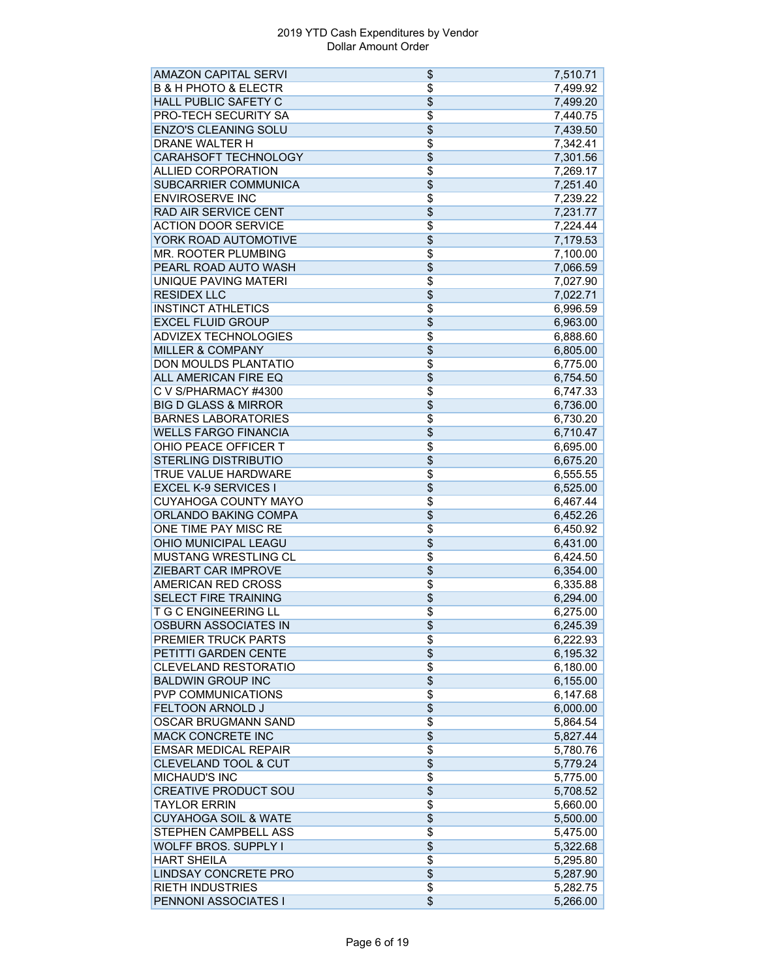| <b>AMAZON CAPITAL SERVI</b>                        | \$                       | 7,510.71             |
|----------------------------------------------------|--------------------------|----------------------|
| <b>B &amp; H PHOTO &amp; ELECTR</b>                | \$                       | 7,499.92             |
| <b>HALL PUBLIC SAFETY C</b>                        | \$                       | 7,499.20             |
| PRO-TECH SECURITY SA                               | \$                       | 7,440.75             |
| <b>ENZO'S CLEANING SOLU</b>                        | \$                       | 7,439.50             |
| DRANE WALTER H                                     | \$                       | 7,342.41             |
| CARAHSOFT TECHNOLOGY                               | \$                       | 7,301.56             |
| <b>ALLIED CORPORATION</b>                          | \$                       | 7,269.17             |
| SUBCARRIER COMMUNICA                               | \$                       | 7,251.40             |
| <b>ENVIROSERVE INC</b>                             | \$                       | 7,239.22             |
| RAD AIR SERVICE CENT                               | \$                       | 7,231.77             |
| <b>ACTION DOOR SERVICE</b>                         | \$                       | 7,224.44             |
| YORK ROAD AUTOMOTIVE                               | \$                       | 7,179.53             |
| MR. ROOTER PLUMBING                                | $\overline{\$}$          | 7,100.00             |
| PEARL ROAD AUTO WASH                               | \$                       | 7,066.59             |
| <b>UNIQUE PAVING MATERI</b>                        | \$                       | 7,027.90             |
| <b>RESIDEX LLC</b>                                 | \$                       | 7,022.71             |
| <b>INSTINCT ATHLETICS</b>                          | \$                       | 6,996.59             |
| <b>EXCEL FLUID GROUP</b>                           | \$                       | 6,963.00             |
| <b>ADVIZEX TECHNOLOGIES</b>                        | $\overline{\$}$          | 6,888.60             |
| <b>MILLER &amp; COMPANY</b>                        | $\overline{\$}$          | 6,805.00             |
| DON MOULDS PLANTATIO                               | \$                       | 6,775.00             |
| <b>ALL AMERICAN FIRE EQ</b>                        | \$                       | 6,754.50             |
| C V S/PHARMACY #4300                               | \$                       | 6,747.33             |
| <b>BIG D GLASS &amp; MIRROR</b>                    | \$                       | 6,736.00             |
| <b>BARNES LABORATORIES</b>                         |                          |                      |
| <b>WELLS FARGO FINANCIA</b>                        | \$<br>\$                 | 6,730.20<br>6,710.47 |
| OHIO PEACE OFFICER T                               | \$                       |                      |
|                                                    | \$                       | 6,695.00             |
| <b>STERLING DISTRIBUTIO</b>                        |                          | 6,675.20             |
| TRUE VALUE HARDWARE<br><b>EXCEL K-9 SERVICES I</b> | \$                       | 6,555.55             |
|                                                    | \$                       | 6,525.00             |
| <b>CUYAHOGA COUNTY MAYO</b>                        | \$                       | 6,467.44             |
| ORLANDO BAKING COMPA                               | \$                       | 6,452.26             |
| ONE TIME PAY MISC RE                               | \$                       | 6,450.92             |
| OHIO MUNICIPAL LEAGU                               | \$                       | 6,431.00             |
| <b>MUSTANG WRESTLING CL</b>                        | $\overline{\$}$          | 6,424.50             |
| <b>ZIEBART CAR IMPROVE</b>                         | \$                       | 6,354.00             |
| <b>AMERICAN RED CROSS</b>                          | \$                       | 6,335.88             |
| <b>SELECT FIRE TRAINING</b>                        | \$                       | 6,294.00             |
| <b>T G C ENGINEERING LL</b>                        | \$                       | 6,275.00             |
| <b>OSBURN ASSOCIATES IN</b>                        | \$                       | 6,245.39             |
| <b>PREMIER TRUCK PARTS</b>                         | \$                       | 6,222.93             |
| PETITTI GARDEN CENTE                               | $\overline{\$}$          | 6,195.32             |
| <b>CLEVELAND RESTORATIO</b>                        | \$                       | 6,180.00             |
| <b>BALDWIN GROUP INC</b>                           | $\overline{\$}$          | 6,155.00             |
| <b>PVP COMMUNICATIONS</b>                          | $\overline{\$}$          | 6,147.68             |
| <b>FELTOON ARNOLD J</b>                            | \$                       | 6,000.00             |
| OSCAR BRUGMANN SAND                                | $\overline{\$}$          | 5,864.54             |
| <b>MACK CONCRETE INC</b>                           | \$                       | 5,827.44             |
| <b>EMSAR MEDICAL REPAIR</b>                        | \$                       | 5,780.76             |
| <b>CLEVELAND TOOL &amp; CUT</b>                    | \$                       | 5,779.24             |
| <b>MICHAUD'S INC</b>                               | $\overline{\$}$          | 5,775.00             |
| <b>CREATIVE PRODUCT SOU</b>                        | $\overline{\$}$          | 5,708.52             |
| <b>TAYLOR ERRIN</b>                                | \$                       | 5,660.00             |
| <b>CUYAHOGA SOIL &amp; WATE</b>                    | \$                       | 5,500.00             |
| STEPHEN CAMPBELL ASS                               | \$                       | 5,475.00             |
| <b>WOLFF BROS. SUPPLY I</b>                        | \$                       | 5,322.68             |
| <b>HART SHEILA</b>                                 | \$                       | 5,295.80             |
| <b>LINDSAY CONCRETE PRO</b>                        | $\overline{\$}$          | 5,287.90             |
| <b>RIETH INDUSTRIES</b>                            | \$                       | 5,282.75             |
| PENNONI ASSOCIATES I                               | $\overline{\mathcal{L}}$ | 5,266.00             |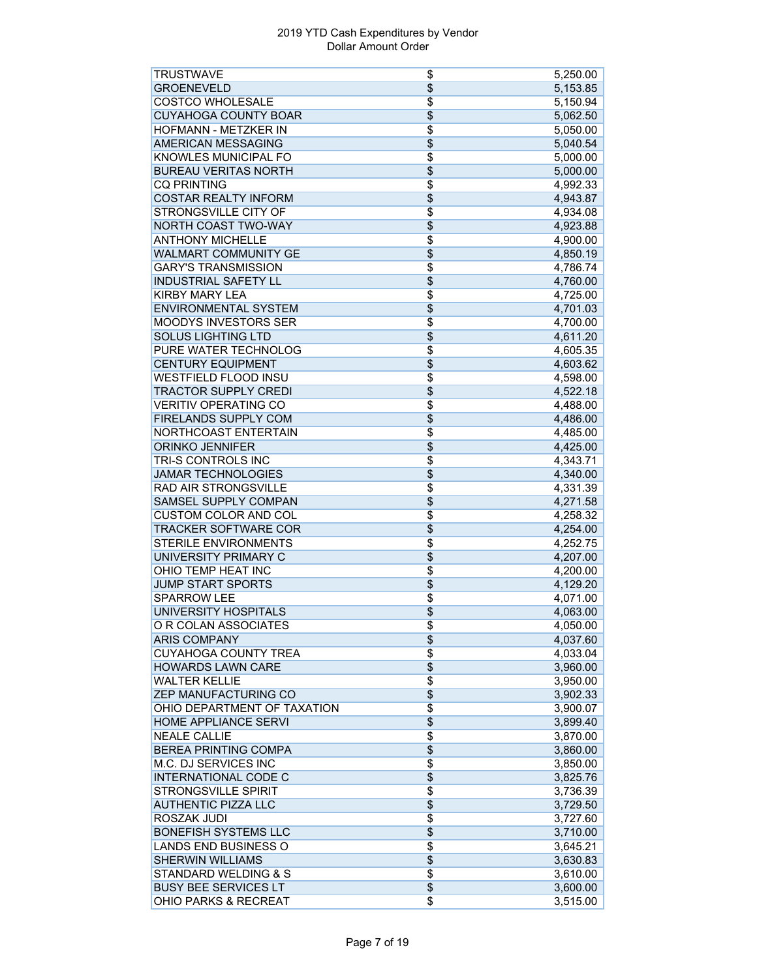| <b>TRUSTWAVE</b>                | \$              | 5,250.00 |
|---------------------------------|-----------------|----------|
| <b>GROENEVELD</b>               | \$              | 5,153.85 |
| <b>COSTCO WHOLESALE</b>         | \$              | 5,150.94 |
| <b>CUYAHOGA COUNTY BOAR</b>     | \$              | 5,062.50 |
| HOFMANN - METZKER IN            | \$              | 5,050.00 |
| <b>AMERICAN MESSAGING</b>       | $\overline{\$}$ | 5,040.54 |
| KNOWLES MUNICIPAL FO            | \$              | 5,000.00 |
| <b>BUREAU VERITAS NORTH</b>     | \$              | 5,000.00 |
| <b>CQ PRINTING</b>              | \$              | 4,992.33 |
| <b>COSTAR REALTY INFORM</b>     | \$              | 4,943.87 |
| <b>STRONGSVILLE CITY OF</b>     | $\overline{\$}$ | 4,934.08 |
| <b>NORTH COAST TWO-WAY</b>      | $\overline{\$}$ | 4,923.88 |
| <b>ANTHONY MICHELLE</b>         | \$              | 4,900.00 |
| <b>WALMART COMMUNITY GE</b>     | \$              | 4,850.19 |
| <b>GARY'S TRANSMISSION</b>      | $\overline{\$}$ | 4,786.74 |
| <b>INDUSTRIAL SAFETY LL</b>     | \$              | 4,760.00 |
| <b>KIRBY MARY LEA</b>           | \$              | 4,725.00 |
| <b>ENVIRONMENTAL SYSTEM</b>     | \$              | 4,701.03 |
| <b>MOODYS INVESTORS SER</b>     | \$              | 4,700.00 |
| <b>SOLUS LIGHTING LTD</b>       | $\overline{\$}$ | 4,611.20 |
| PURE WATER TECHNOLOG            | \$              | 4,605.35 |
| <b>CENTURY EQUIPMENT</b>        | $\overline{\$}$ | 4,603.62 |
| <b>WESTFIELD FLOOD INSU</b>     | $\overline{\$}$ | 4,598.00 |
| <b>TRACTOR SUPPLY CREDI</b>     | \$              | 4,522.18 |
| <b>VERITIV OPERATING CO</b>     |                 |          |
|                                 | $\overline{\$}$ | 4,488.00 |
| FIRELANDS SUPPLY COM            | \$              | 4,486.00 |
| NORTHCOAST ENTERTAIN            | \$              | 4,485.00 |
| <b>ORINKO JENNIFER</b>          | \$              | 4,425.00 |
| TRI-S CONTROLS INC              | $\overline{\$}$ | 4,343.71 |
| <b>JAMAR TECHNOLOGIES</b>       | \$              | 4,340.00 |
| <b>RAD AIR STRONGSVILLE</b>     | \$              | 4,331.39 |
| <b>SAMSEL SUPPLY COMPAN</b>     | \$              | 4,271.58 |
| <b>CUSTOM COLOR AND COL</b>     | $\overline{\$}$ | 4,258.32 |
| <b>TRACKER SOFTWARE COR</b>     | \$              | 4,254.00 |
| <b>STERILE ENVIRONMENTS</b>     | \$              | 4,252.75 |
| UNIVERSITY PRIMARY C            | \$              | 4,207.00 |
| OHIO TEMP HEAT INC              | \$              | 4,200.00 |
| <b>JUMP START SPORTS</b>        | $\overline{\$}$ | 4,129.20 |
| <b>SPARROW LEE</b>              | \$              | 4,071.00 |
| <b>UNIVERSITY HOSPITALS</b>     | $\overline{\$}$ | 4,063.00 |
| O R COLAN ASSOCIATES            | \$              | 4,050.00 |
| <b>ARIS COMPANY</b>             | $\overline{\$}$ | 4,037.60 |
| <b>CUYAHOGA COUNTY TREA</b>     | \$              | 4,033.04 |
| <b>HOWARDS LAWN CARE</b>        | \$              | 3,960.00 |
| <b>WALTER KELLIE</b>            | $\overline{\$}$ | 3,950.00 |
| ZEP MANUFACTURING CO            | \$              | 3,902.33 |
| OHIO DEPARTMENT OF TAXATION     | $\overline{\$}$ | 3,900.07 |
| HOME APPLIANCE SERVI            | $\overline{\$}$ | 3,899.40 |
| <b>NEALE CALLIE</b>             | $\overline{\$}$ | 3,870.00 |
| <b>BEREA PRINTING COMPA</b>     | \$              | 3,860.00 |
| M.C. DJ SERVICES INC            | \$              | 3,850.00 |
| <b>INTERNATIONAL CODE C</b>     | \$              | 3,825.76 |
| <b>STRONGSVILLE SPIRIT</b>      | \$              | 3,736.39 |
| <b>AUTHENTIC PIZZA LLC</b>      | \$              | 3,729.50 |
| <b>ROSZAK JUDI</b>              | \$              | 3,727.60 |
| <b>BONEFISH SYSTEMS LLC</b>     | $\overline{\$}$ | 3,710.00 |
| LANDS END BUSINESS O            | \$              | 3,645.21 |
| <b>SHERWIN WILLIAMS</b>         | \$              | 3,630.83 |
| <b>STANDARD WELDING &amp; S</b> | \$              | 3,610.00 |
| <b>BUSY BEE SERVICES LT</b>     | \$              | 3,600.00 |
| <b>OHIO PARKS &amp; RECREAT</b> | $\overline{\$}$ | 3,515.00 |
|                                 |                 |          |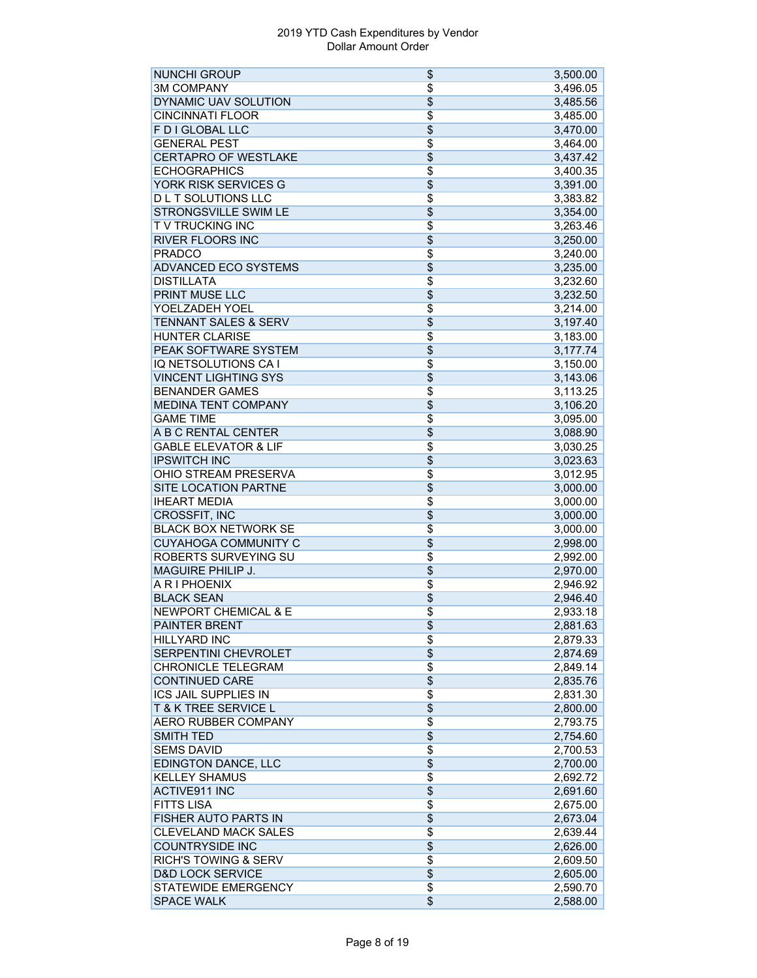| <b>NUNCHI GROUP</b>             | \$              | 3,500.00 |
|---------------------------------|-----------------|----------|
| <b>3M COMPANY</b>               | \$              | 3,496.05 |
| DYNAMIC UAV SOLUTION            | \$              | 3,485.56 |
| <b>CINCINNATI FLOOR</b>         | $\overline{\$}$ | 3,485.00 |
| F D I GLOBAL LLC                | \$              | 3,470.00 |
| <b>GENERAL PEST</b>             | $\overline{\$}$ | 3,464.00 |
| <b>CERTAPRO OF WESTLAKE</b>     | $\overline{\$}$ | 3,437.42 |
| <b>ECHOGRAPHICS</b>             | $\overline{\$}$ | 3,400.35 |
| YORK RISK SERVICES G            | $\overline{\$}$ | 3,391.00 |
| <b>DLT SOLUTIONS LLC</b>        | $\overline{\$}$ | 3,383.82 |
| STRONGSVILLE SWIM LE            | $\overline{\$}$ | 3,354.00 |
| TV TRUCKING INC                 | $\overline{\$}$ |          |
|                                 |                 | 3,263.46 |
| <b>RIVER FLOORS INC</b>         | $\overline{\$}$ | 3,250.00 |
| <b>PRADCO</b>                   | $\overline{\$}$ | 3,240.00 |
| <b>ADVANCED ECO SYSTEMS</b>     | \$              | 3,235.00 |
| <b>DISTILLATA</b>               | $\overline{\$}$ | 3,232.60 |
| <b>PRINT MUSE LLC</b>           | $\overline{\$}$ | 3,232.50 |
| YOELZADEH YOEL                  | \$              | 3,214.00 |
| <b>TENNANT SALES &amp; SERV</b> | $\overline{\$}$ | 3,197.40 |
| <b>HUNTER CLARISE</b>           | $\overline{\$}$ | 3,183.00 |
| PEAK SOFTWARE SYSTEM            | \$              | 3,177.74 |
| IQ NETSOLUTIONS CA I            | $\overline{\$}$ | 3,150.00 |
| <b>VINCENT LIGHTING SYS</b>     | $\overline{\$}$ | 3,143.06 |
| <b>BENANDER GAMES</b>           | $\overline{\$}$ | 3,113.25 |
| <b>MEDINA TENT COMPANY</b>      | $\overline{\$}$ | 3,106.20 |
| <b>GAME TIME</b>                | \$              | 3,095.00 |
| A B C RENTAL CENTER             | $\overline{\$}$ |          |
|                                 |                 | 3,088.90 |
| <b>GABLE ELEVATOR &amp; LIF</b> | $\overline{\$}$ | 3,030.25 |
| <b>IPSWITCH INC</b>             | $\overline{\$}$ | 3,023.63 |
| OHIO STREAM PRESERVA            | \$              | 3,012.95 |
| <b>SITE LOCATION PARTNE</b>     | $\overline{\$}$ | 3,000.00 |
| <b>IHEART MEDIA</b>             | \$              | 3,000.00 |
| <b>CROSSFIT, INC</b>            | $\overline{\$}$ | 3,000.00 |
| <b>BLACK BOX NETWORK SE</b>     | \$              | 3,000.00 |
| <b>CUYAHOGA COMMUNITY C</b>     | \$              | 2,998.00 |
| ROBERTS SURVEYING SU            | $\overline{\$}$ | 2,992.00 |
| <b>MAGUIRE PHILIP J.</b>        | \$              | 2,970.00 |
| A R I PHOENIX                   | \$              | 2,946.92 |
| <b>BLACK SEAN</b>               | \$              | 2,946.40 |
| <b>NEWPORT CHEMICAL &amp; E</b> | \$              | 2,933.18 |
| PAINTER BRENT                   | \$              | 2,881.63 |
| <b>HILLYARD INC</b>             | \$              | 2,879.33 |
| SERPENTINI CHEVROLET            | \$              |          |
|                                 |                 | 2,874.69 |
| <b>CHRONICLE TELEGRAM</b>       | \$              | 2,849.14 |
| <b>CONTINUED CARE</b>           | $\overline{\$}$ | 2,835.76 |
| <b>ICS JAIL SUPPLIES IN</b>     | \$              | 2,831.30 |
| T & K TREE SERVICE L            | $\overline{\$}$ | 2,800.00 |
| <b>AERO RUBBER COMPANY</b>      | \$              | 2,793.75 |
| <b>SMITH TED</b>                | \$              | 2,754.60 |
| <b>SEMS DAVID</b>               | $\overline{\$}$ | 2,700.53 |
| <b>EDINGTON DANCE, LLC</b>      | $\overline{\$}$ | 2,700.00 |
| <b>KELLEY SHAMUS</b>            | $\overline{\$}$ | 2,692.72 |
| <b>ACTIVE911 INC</b>            | \$              | 2,691.60 |
| <b>FITTS LISA</b>               | \$              | 2,675.00 |
| FISHER AUTO PARTS IN            | \$              | 2,673.04 |
| <b>CLEVELAND MACK SALES</b>     | $\overline{\$}$ | 2,639.44 |
| <b>COUNTRYSIDE INC</b>          | \$              | 2,626.00 |
| <b>RICH'S TOWING &amp; SERV</b> | \$              |          |
|                                 |                 | 2,609.50 |
| <b>D&amp;D LOCK SERVICE</b>     | $\overline{\$}$ | 2,605.00 |
| <b>STATEWIDE EMERGENCY</b>      | $\overline{\$}$ | 2,590.70 |
| <b>SPACE WALK</b>               | $\overline{\$}$ | 2,588.00 |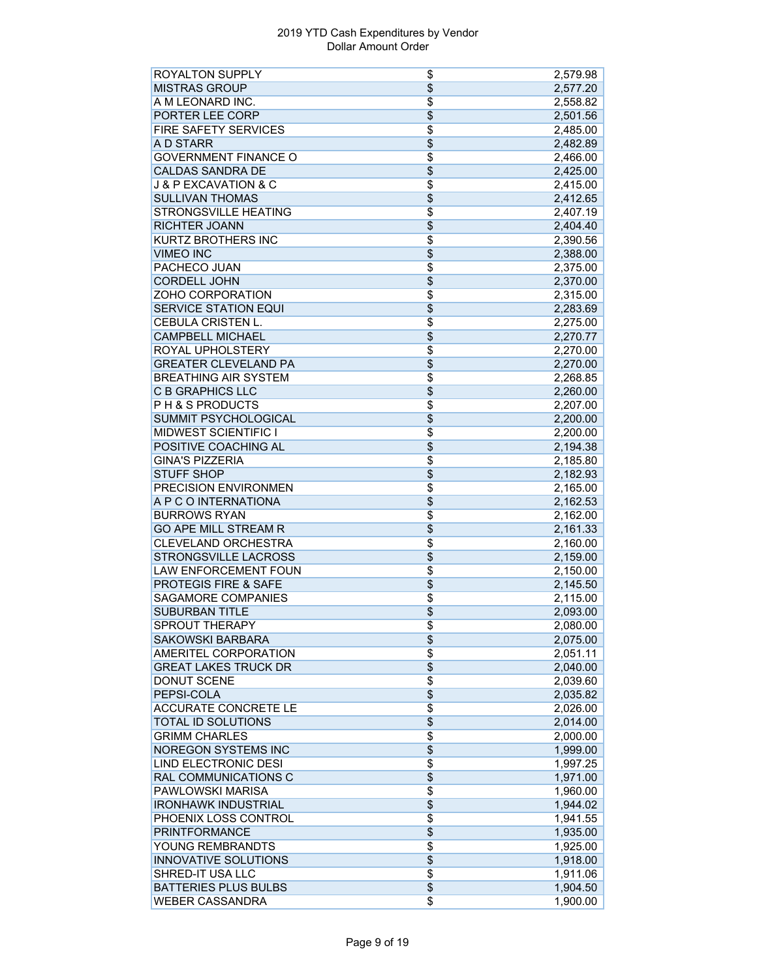| <b>ROYALTON SUPPLY</b>              | \$                    | 2,579.98 |
|-------------------------------------|-----------------------|----------|
| <b>MISTRAS GROUP</b>                | \$                    | 2,577.20 |
| A M LEONARD INC.                    | \$                    | 2,558.82 |
| PORTER LEE CORP                     | $\overline{\$}$       | 2,501.56 |
| <b>FIRE SAFETY SERVICES</b>         | \$                    | 2,485.00 |
| A D STARR                           | \$                    | 2,482.89 |
| <b>GOVERNMENT FINANCE O</b>         | $\overline{\$}$       | 2,466.00 |
| <b>CALDAS SANDRA DE</b>             | \$                    | 2,425.00 |
| <b>J &amp; P EXCAVATION &amp; C</b> | \$                    | 2,415.00 |
| <b>SULLIVAN THOMAS</b>              | $\overline{\$}$       | 2,412.65 |
| <b>STRONGSVILLE HEATING</b>         | \$                    | 2,407.19 |
| <b>RICHTER JOANN</b>                | $\overline{\$}$       | 2,404.40 |
| <b>KURTZ BROTHERS INC</b>           | \$                    | 2,390.56 |
| <b>VIMEO INC</b>                    | \$                    | 2,388.00 |
| <b>PACHECO JUAN</b>                 | \$                    | 2,375.00 |
| <b>CORDELL JOHN</b>                 | $\overline{\$}$       | 2,370.00 |
| ZOHO CORPORATION                    | $\overline{\$}$       |          |
|                                     |                       | 2,315.00 |
| <b>SERVICE STATION EQUI</b>         | \$                    | 2,283.69 |
| CEBULA CRISTEN L.                   | \$                    | 2,275.00 |
| <b>CAMPBELL MICHAEL</b>             | $\overline{\$}$       | 2,270.77 |
| ROYAL UPHOLSTERY                    | $\overline{\$}$       | 2,270.00 |
| <b>GREATER CLEVELAND PA</b>         | $\overline{\$}$       | 2,270.00 |
| <b>BREATHING AIR SYSTEM</b>         | \$                    | 2,268.85 |
| <b>C B GRAPHICS LLC</b>             | $\overline{\$}$       | 2,260.00 |
| <b>PH &amp; S PRODUCTS</b>          | \$                    | 2,207.00 |
| SUMMIT PSYCHOLOGICAL                | \$                    | 2,200.00 |
| <b>MIDWEST SCIENTIFIC I</b>         | \$                    | 2,200.00 |
| POSITIVE COACHING AL                | \$                    | 2,194.38 |
| <b>GINA'S PIZZERIA</b>              | $\overline{\$}$       | 2,185.80 |
| <b>STUFF SHOP</b>                   | \$                    | 2,182.93 |
| PRECISION ENVIRONMEN                | $\overline{\$}$       | 2,165.00 |
| A P C O INTERNATIONA                | \$                    | 2,162.53 |
| <b>BURROWS RYAN</b>                 | \$                    | 2,162.00 |
| <b>GO APE MILL STREAM R</b>         | \$                    | 2,161.33 |
| <b>CLEVELAND ORCHESTRA</b>          | $\overline{\$}$       | 2,160.00 |
| <b>STRONGSVILLE LACROSS</b>         | \$                    | 2,159.00 |
| <b>LAW ENFORCEMENT FOUN</b>         | \$                    | 2,150.00 |
| <b>PROTEGIS FIRE &amp; SAFE</b>     | \$                    | 2,145.50 |
| <b>SAGAMORE COMPANIES</b>           | \$                    | 2,115.00 |
| <b>SUBURBAN TITLE</b>               | \$                    | 2,093.00 |
| SPROUT THERAPY                      |                       | 2,080.00 |
| <b>SAKOWSKI BARBARA</b>             | \$<br>$\overline{\$}$ |          |
| AMERITEL CORPORATION                | \$                    | 2,075.00 |
|                                     |                       | 2,051.11 |
| <b>GREAT LAKES TRUCK DR</b>         | \$                    | 2,040.00 |
| <b>DONUT SCENE</b>                  | $\overline{\$}$       | 2,039.60 |
| PEPSI-COLA                          | \$                    | 2,035.82 |
| <b>ACCURATE CONCRETE LE</b>         | $\overline{\$}$       | 2,026.00 |
| TOTAL ID SOLUTIONS                  | \$                    | 2,014.00 |
| <b>GRIMM CHARLES</b>                | $\overline{\$}$       | 2,000.00 |
| <b>NOREGON SYSTEMS INC</b>          | \$                    | 1,999.00 |
| <b>LIND ELECTRONIC DESI</b>         | \$                    | 1,997.25 |
| RAL COMMUNICATIONS C                | \$                    | 1,971.00 |
| <b>PAWLOWSKI MARISA</b>             | \$                    | 1,960.00 |
| <b>IRONHAWK INDUSTRIAL</b>          | $\overline{\$}$       | 1,944.02 |
| PHOENIX LOSS CONTROL                | \$                    | 1,941.55 |
| <b>PRINTFORMANCE</b>                | \$                    | 1,935.00 |
| YOUNG REMBRANDTS                    | $\overline{\$}$       | 1,925.00 |
| <b>INNOVATIVE SOLUTIONS</b>         | \$                    | 1,918.00 |
| SHRED-IT USA LLC                    | $\overline{\$}$       | 1,911.06 |
| <b>BATTERIES PLUS BULBS</b>         | $\overline{\$}$       | 1,904.50 |
| <b>WEBER CASSANDRA</b>              | \$                    | 1,900.00 |
|                                     |                       |          |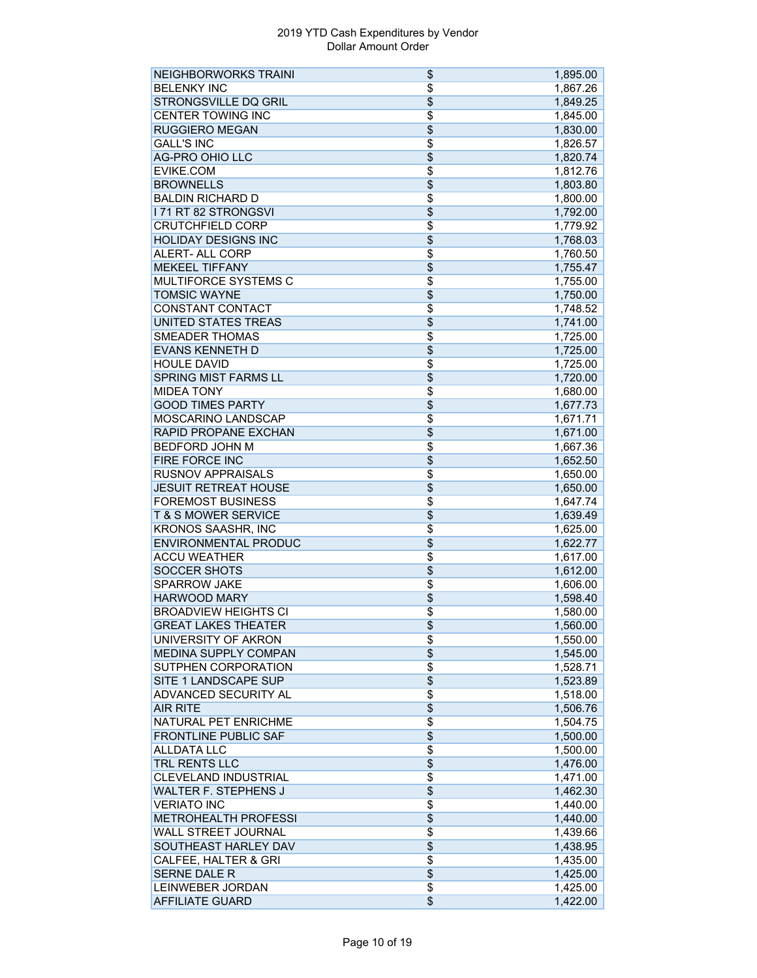| <b>NEIGHBORWORKS TRAINI</b>     | \$              | 1,895.00 |
|---------------------------------|-----------------|----------|
| <b>BELENKY INC</b>              | \$              | 1,867.26 |
| STRONGSVILLE DQ GRIL            | $\overline{\$}$ | 1,849.25 |
| <b>CENTER TOWING INC</b>        | \$              | 1,845.00 |
| <b>RUGGIERO MEGAN</b>           | \$              | 1,830.00 |
| <b>GALL'S INC</b>               | $\overline{\$}$ | 1,826.57 |
| <b>AG-PRO OHIO LLC</b>          | \$              | 1,820.74 |
| EVIKE.COM                       | $\overline{\$}$ | 1,812.76 |
| <b>BROWNELLS</b>                | \$              | 1,803.80 |
| <b>BALDIN RICHARD D</b>         | \$              | 1,800.00 |
| <b>I 71 RT 82 STRONGSVI</b>     | \$              | 1,792.00 |
| <b>CRUTCHFIELD CORP</b>         | \$              | 1,779.92 |
| <b>HOLIDAY DESIGNS INC</b>      | \$              | 1,768.03 |
| <b>ALERT- ALL CORP</b>          | \$              | 1,760.50 |
| <b>MEKEEL TIFFANY</b>           | $\overline{\$}$ | 1,755.47 |
| <b>MULTIFORCE SYSTEMS C</b>     | $\overline{\$}$ | 1,755.00 |
| <b>TOMSIC WAYNE</b>             | \$              |          |
|                                 |                 | 1,750.00 |
| CONSTANT CONTACT                | \$              | 1,748.52 |
| <b>UNITED STATES TREAS</b>      | \$              | 1,741.00 |
| <b>SMEADER THOMAS</b>           | $\overline{\$}$ | 1,725.00 |
| <b>EVANS KENNETH D</b>          | \$              | 1,725.00 |
| <b>HOULE DAVID</b>              | \$              | 1,725.00 |
| <b>SPRING MIST FARMS LL</b>     | $\overline{\$}$ | 1,720.00 |
| <b>MIDEA TONY</b>               | \$              | 1,680.00 |
| <b>GOOD TIMES PARTY</b>         | $\overline{\$}$ | 1,677.73 |
| MOSCARINO LANDSCAP              | \$              | 1,671.71 |
| RAPID PROPANE EXCHAN            | \$              | 1,671.00 |
| <b>BEDFORD JOHN M</b>           | $\overline{\$}$ | 1,667.36 |
| <b>FIRE FORCE INC</b>           | $\overline{\$}$ | 1,652.50 |
| <b>RUSNOV APPRAISALS</b>        | \$              | 1,650.00 |
| <b>JESUIT RETREAT HOUSE</b>     | \$              | 1,650.00 |
| <b>FOREMOST BUSINESS</b>        | \$              | 1,647.74 |
| <b>T &amp; S MOWER SERVICE</b>  | \$              | 1,639.49 |
| <b>KRONOS SAASHR, INC</b>       | \$              | 1,625.00 |
| <b>ENVIRONMENTAL PRODUC</b>     | \$              | 1,622.77 |
| <b>ACCU WEATHER</b>             | \$              | 1,617.00 |
| <b>SOCCER SHOTS</b>             | $\overline{\$}$ | 1,612.00 |
| <b>SPARROW JAKE</b>             | \$              | 1,606.00 |
| <b>HARWOOD MARY</b>             | \$              | 1,598.40 |
| <b>BROADVIEW HEIGHTS CI</b>     | \$              | 1,580.00 |
| <b>GREAT LAKES THEATER</b>      | \$              | 1,560.00 |
| UNIVERSITY OF AKRON             | \$              | 1,550.00 |
| MEDINA SUPPLY COMPAN            | $\overline{\$}$ |          |
| SUTPHEN CORPORATION             | \$              | 1,545.00 |
|                                 |                 | 1,528.71 |
| SITE 1 LANDSCAPE SUP            | \$              | 1,523.89 |
| ADVANCED SECURITY AL            | $\overline{\$}$ | 1,518.00 |
| <b>AIR RITE</b>                 | \$              | 1,506.76 |
| NATURAL PET ENRICHME            | $\overline{\$}$ | 1,504.75 |
| <b>FRONTLINE PUBLIC SAF</b>     | \$              | 1,500.00 |
| <b>ALLDATA LLC</b>              | \$              | 1,500.00 |
| <b>TRL RENTS LLC</b>            | \$              | 1,476.00 |
| <b>CLEVELAND INDUSTRIAL</b>     | \$              | 1,471.00 |
| <b>WALTER F. STEPHENS J</b>     | $\overline{\$}$ | 1,462.30 |
| <b>VERIATO INC</b>              | \$              | 1,440.00 |
| <b>METROHEALTH PROFESSI</b>     | \$              | 1,440.00 |
| WALL STREET JOURNAL             | $\overline{\$}$ | 1,439.66 |
| SOUTHEAST HARLEY DAV            | \$              | 1,438.95 |
| <b>CALFEE, HALTER &amp; GRI</b> | $\overline{\$}$ | 1,435.00 |
| <b>SERNE DALE R</b>             | $\overline{\$}$ | 1,425.00 |
| LEINWEBER JORDAN                | \$              | 1,425.00 |
| <b>AFFILIATE GUARD</b>          | \$              | 1,422.00 |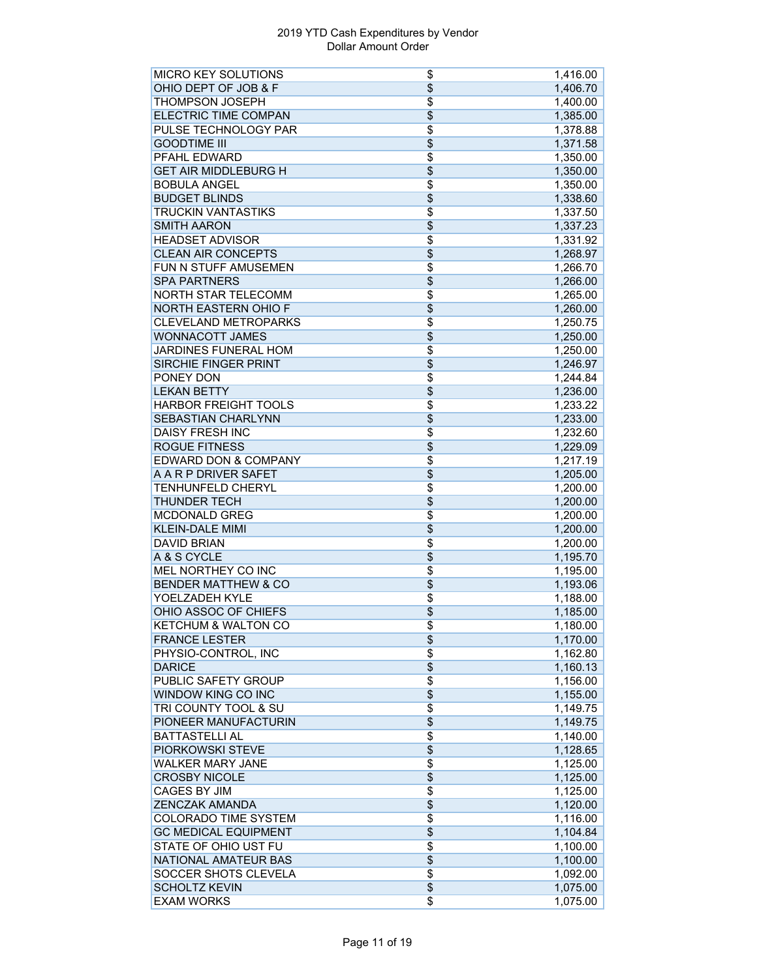| <b>MICRO KEY SOLUTIONS</b>      | \$              | 1,416.00 |
|---------------------------------|-----------------|----------|
| OHIO DEPT OF JOB & F            | $\overline{\$}$ | 1,406.70 |
| <b>THOMPSON JOSEPH</b>          | $\overline{\$}$ | 1,400.00 |
| <b>ELECTRIC TIME COMPAN</b>     | $\overline{\$}$ | 1,385.00 |
| PULSE TECHNOLOGY PAR            | \$              | 1,378.88 |
| <b>GOODTIME III</b>             | \$              | 1,371.58 |
| PFAHL EDWARD                    | $\overline{\$}$ | 1,350.00 |
| <b>GET AIR MIDDLEBURG H</b>     | $\overline{\$}$ | 1,350.00 |
| <b>BOBULA ANGEL</b>             | \$              | 1,350.00 |
| <b>BUDGET BLINDS</b>            | \$              | 1,338.60 |
| TRUCKIN VANTASTIKS              | \$              | 1,337.50 |
| <b>SMITH AARON</b>              | $\overline{\$}$ | 1,337.23 |
| <b>HEADSET ADVISOR</b>          | \$              |          |
| <b>CLEAN AIR CONCEPTS</b>       | \$              | 1,331.92 |
| FUN N STUFF AMUSEMEN            | $\overline{\$}$ | 1,268.97 |
|                                 |                 | 1,266.70 |
| <b>SPA PARTNERS</b>             | $\overline{\$}$ | 1,266.00 |
| <b>NORTH STAR TELECOMM</b>      | $\overline{\$}$ | 1,265.00 |
| <b>NORTH EASTERN OHIO F</b>     | \$              | 1,260.00 |
| <b>CLEVELAND METROPARKS</b>     | \$              | 1,250.75 |
| <b>WONNACOTT JAMES</b>          | \$              | 1,250.00 |
| <b>JARDINES FUNERAL HOM</b>     | $\overline{\$}$ | 1,250.00 |
| <b>SIRCHIE FINGER PRINT</b>     | $\overline{\$}$ | 1,246.97 |
| <b>PONEY DON</b>                | $\overline{\$}$ | 1,244.84 |
| <b>LEKAN BETTY</b>              | $\overline{\$}$ | 1,236.00 |
| <b>HARBOR FREIGHT TOOLS</b>     | \$              | 1,233.22 |
| SEBASTIAN CHARLYNN              | \$              | 1,233.00 |
| <b>DAISY FRESH INC</b>          | \$              | 1,232.60 |
| <b>ROGUE FITNESS</b>            | \$              | 1,229.09 |
| <b>EDWARD DON &amp; COMPANY</b> | $\overline{\$}$ | 1,217.19 |
| A A R P DRIVER SAFET            | $\overline{\$}$ | 1,205.00 |
| TENHUNFELD CHERYL               | $\overline{\$}$ | 1,200.00 |
| <b>THUNDER TECH</b>             | \$              | 1,200.00 |
| <b>MCDONALD GREG</b>            | $\overline{\$}$ | 1,200.00 |
| <b>KLEIN-DALE MIMI</b>          | \$              | 1,200.00 |
| <b>DAVID BRIAN</b>              | $\overline{\$}$ | 1,200.00 |
| A & S CYCLE                     | \$              | 1,195.70 |
| MEL NORTHEY CO INC              | $\overline{\$}$ | 1,195.00 |
| <b>BENDER MATTHEW &amp; CO</b>  | $\overline{\$}$ | 1,193.06 |
| YOELZADEH KYLE                  | \$              | 1,188.00 |
| OHIO ASSOC OF CHIEFS            | \$              | 1,185.00 |
|                                 |                 |          |
| KETCHUM & WALTON CO             | \$              | 1,180.00 |
| <b>FRANCE LESTER</b>            | \$              | 1,170.00 |
| PHYSIO-CONTROL, INC             | \$              | 1,162.80 |
| <b>DARICE</b>                   | \$              | 1,160.13 |
| PUBLIC SAFETY GROUP             | $\overline{\$}$ | 1,156.00 |
| WINDOW KING CO INC              | \$              | 1,155.00 |
| TRI COUNTY TOOL & SU            | \$              | 1,149.75 |
| PIONEER MANUFACTURIN            | $\overline{\$}$ | 1,149.75 |
| <b>BATTASTELLI AL</b>           | $\overline{\$}$ | 1,140.00 |
| PIORKOWSKI STEVE                | \$              | 1,128.65 |
| <b>WALKER MARY JANE</b>         | \$              | 1,125.00 |
| <b>CROSBY NICOLE</b>            | \$              | 1,125.00 |
| <b>CAGES BY JIM</b>             | \$              | 1,125.00 |
| <b>ZENCZAK AMANDA</b>           | $\overline{\$}$ | 1,120.00 |
| <b>COLORADO TIME SYSTEM</b>     | \$              | 1,116.00 |
| <b>GC MEDICAL EQUIPMENT</b>     | \$              | 1,104.84 |
| STATE OF OHIO UST FU            | $\overline{\$}$ | 1,100.00 |
| NATIONAL AMATEUR BAS            | \$              | 1,100.00 |
| SOCCER SHOTS CLEVELA            | \$              | 1,092.00 |
| <b>SCHOLTZ KEVIN</b>            | \$              | 1,075.00 |
| <b>EXAM WORKS</b>               | $\overline{\$}$ |          |
|                                 |                 | 1,075.00 |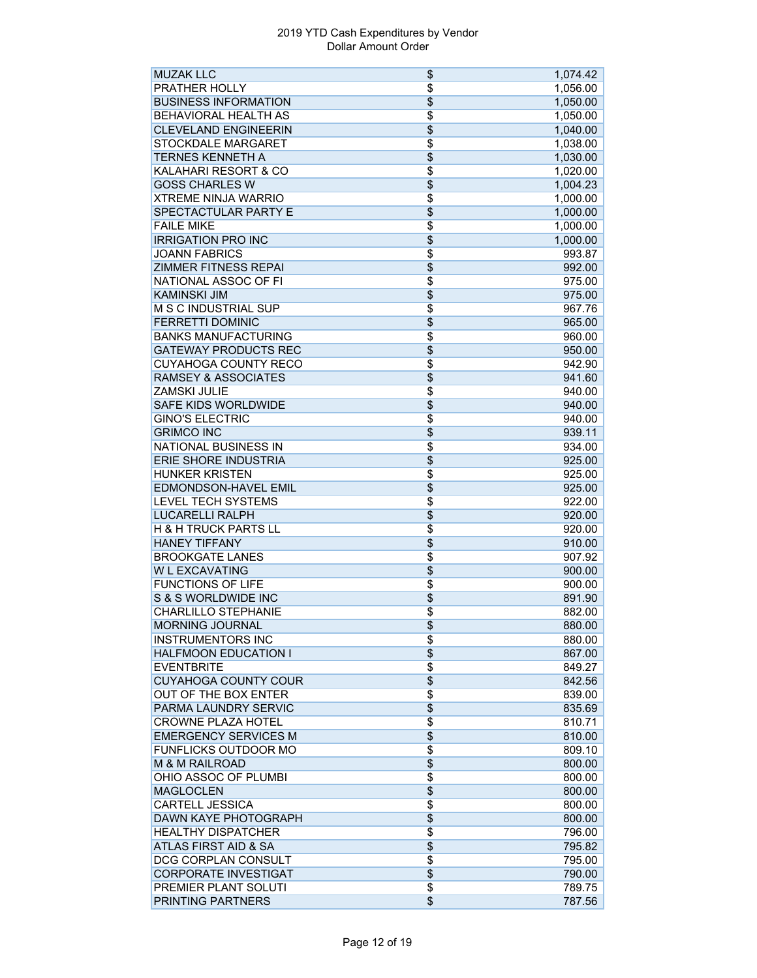| <b>MUZAK LLC</b>                | \$              | 1,074.42 |
|---------------------------------|-----------------|----------|
| <b>PRATHER HOLLY</b>            | $\overline{\$}$ | 1,056.00 |
| <b>BUSINESS INFORMATION</b>     | $\overline{\$}$ | 1,050.00 |
| <b>BEHAVIORAL HEALTH AS</b>     | $\overline{\$}$ | 1,050.00 |
| <b>CLEVELAND ENGINEERIN</b>     | \$              | 1,040.00 |
| STOCKDALE MARGARET              | $\overline{\$}$ | 1,038.00 |
| <b>TERNES KENNETH A</b>         | $\overline{\$}$ | 1,030.00 |
| <b>KALAHARI RESORT &amp; CO</b> | $\overline{\$}$ | 1,020.00 |
| <b>GOSS CHARLES W</b>           | $\overline{\$}$ | 1,004.23 |
| <b>XTREME NINJA WARRIO</b>      | $\overline{\$}$ | 1,000.00 |
| SPECTACTULAR PARTY E            | $\overline{\$}$ | 1,000.00 |
| <b>FAILE MIKE</b>               | $\overline{\$}$ | 1,000.00 |
| <b>IRRIGATION PRO INC</b>       | \$              | 1,000.00 |
| <b>JOANN FABRICS</b>            | $\overline{\$}$ | 993.87   |
| <b>ZIMMER FITNESS REPAI</b>     | \$              | 992.00   |
| NATIONAL ASSOC OF FI            | $\overline{\$}$ | 975.00   |
| <b>KAMINSKI JIM</b>             | $\overline{\$}$ | 975.00   |
| <b>M S C INDUSTRIAL SUP</b>     | $\overline{\$}$ | 967.76   |
| <b>FERRETTI DOMINIC</b>         | $\overline{\$}$ | 965.00   |
| <b>BANKS MANUFACTURING</b>      | $\overline{\$}$ | 960.00   |
| <b>GATEWAY PRODUCTS REC</b>     | $\overline{\$}$ | 950.00   |
| <b>CUYAHOGA COUNTY RECO</b>     | $\overline{\$}$ |          |
| <b>RAMSEY &amp; ASSOCIATES</b>  | $\overline{\$}$ | 942.90   |
|                                 |                 | 941.60   |
| <b>ZAMSKI JULIE</b>             | $\overline{\$}$ | 940.00   |
| <b>SAFE KIDS WORLDWIDE</b>      | $\overline{\$}$ | 940.00   |
| <b>GINO'S ELECTRIC</b>          | $\overline{\$}$ | 940.00   |
| <b>GRIMCO INC</b>               | $\overline{\$}$ | 939.11   |
| <b>NATIONAL BUSINESS IN</b>     | $\overline{\$}$ | 934.00   |
| <b>ERIE SHORE INDUSTRIA</b>     | $\overline{\$}$ | 925.00   |
| <b>HUNKER KRISTEN</b>           | $\overline{\$}$ | 925.00   |
| <b>EDMONDSON-HAVEL EMIL</b>     | \$              | 925.00   |
| <b>LEVEL TECH SYSTEMS</b>       | $\overline{\$}$ | 922.00   |
| <b>LUCARELLI RALPH</b>          | $\overline{\$}$ | 920.00   |
| H & H TRUCK PARTS LL            | \$              | 920.00   |
| <b>HANEY TIFFANY</b>            | $\overline{\$}$ | 910.00   |
| <b>BROOKGATE LANES</b>          | $\overline{\$}$ | 907.92   |
| <b>W L EXCAVATING</b>           | $\overline{\$}$ | 900.00   |
| <b>FUNCTIONS OF LIFE</b>        | \$              | 900.00   |
| S & S WORLDWIDE INC             | \$              | 891.90   |
| <b>CHARLILLO STEPHANIE</b>      | \$              | 882.00   |
| <b>MORNING JOURNAL</b>          | \$              | 880.00   |
| <b>INSTRUMENTORS INC</b>        | $\overline{\$}$ | 880.00   |
| <b>HALFMOON EDUCATION I</b>     | $\overline{\$}$ | 867.00   |
| <b>EVENTBRITE</b>               | $\overline{\$}$ | 849.27   |
| <b>CUYAHOGA COUNTY COUR</b>     | $\overline{\$}$ | 842.56   |
| <b>OUT OF THE BOX ENTER</b>     | $\overline{\$}$ | 839.00   |
| PARMA LAUNDRY SERVIC            | $\overline{\$}$ | 835.69   |
| <b>CROWNE PLAZA HOTEL</b>       | $\overline{\$}$ | 810.71   |
| <b>EMERGENCY SERVICES M</b>     | $\overline{\$}$ | 810.00   |
| <b>FUNFLICKS OUTDOOR MO</b>     | $\overline{\$}$ | 809.10   |
| <b>M &amp; M RAILROAD</b>       | \$              | 800.00   |
| OHIO ASSOC OF PLUMBI            | $\overline{\$}$ | 800.00   |
| <b>MAGLOCLEN</b>                | \$              | 800.00   |
| <b>CARTELL JESSICA</b>          | $\overline{\$}$ | 800.00   |
|                                 |                 |          |
| <b>DAWN KAYE PHOTOGRAPH</b>     | $\overline{\$}$ | 800.00   |
| <b>HEALTHY DISPATCHER</b>       | \$              | 796.00   |
| <b>ATLAS FIRST AID &amp; SA</b> | $\overline{\$}$ | 795.82   |
| DCG CORPLAN CONSULT             | $\overline{\$}$ | 795.00   |
| <b>CORPORATE INVESTIGAT</b>     | $\overline{\$}$ | 790.00   |
| PREMIER PLANT SOLUTI            | $\overline{\$}$ | 789.75   |
| PRINTING PARTNERS               | $\overline{\$}$ | 787.56   |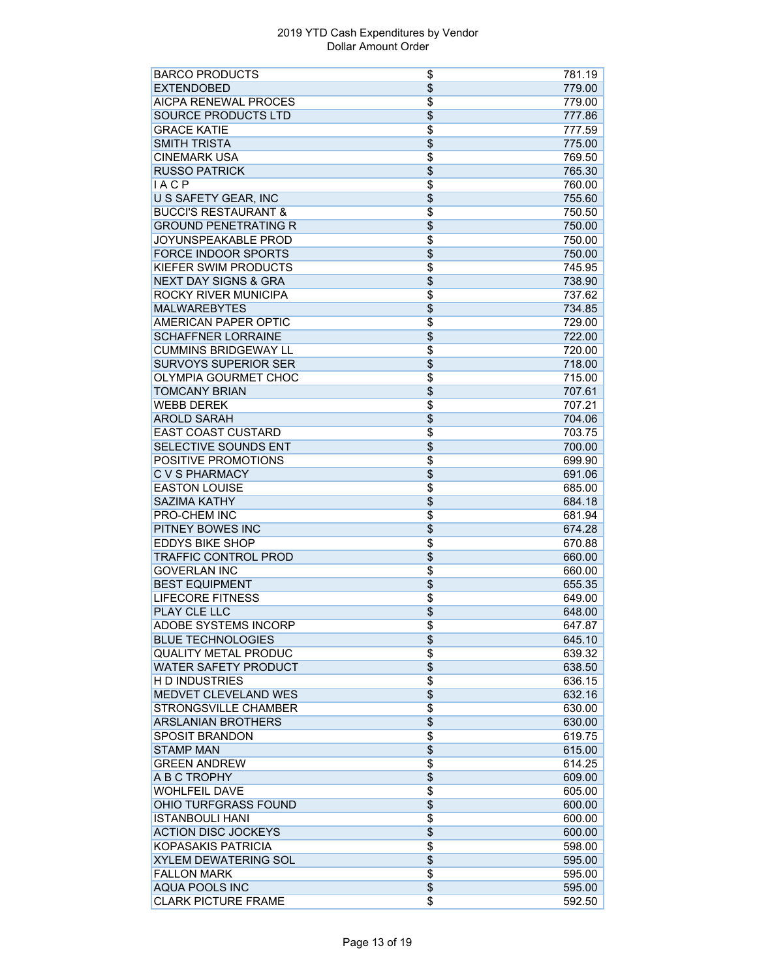| <b>BARCO PRODUCTS</b>           | \$              | 781.19 |
|---------------------------------|-----------------|--------|
| <b>EXTENDOBED</b>               | \$              | 779.00 |
| <b>AICPA RENEWAL PROCES</b>     | $\overline{\$}$ | 779.00 |
| <b>SOURCE PRODUCTS LTD</b>      | $\overline{\$}$ | 777.86 |
| <b>GRACE KATIE</b>              | $\overline{\$}$ | 777.59 |
| <b>SMITH TRISTA</b>             | $\overline{\$}$ | 775.00 |
| <b>CINEMARK USA</b>             | $\overline{\$}$ | 769.50 |
| <b>RUSSO PATRICK</b>            | $\overline{\$}$ | 765.30 |
| <b>IACP</b>                     | $\overline{\$}$ | 760.00 |
| <b>U S SAFETY GEAR, INC</b>     | $\overline{\$}$ | 755.60 |
| <b>BUCCI'S RESTAURANT &amp;</b> | $\overline{\$}$ | 750.50 |
|                                 |                 |        |
| <b>GROUND PENETRATING R</b>     | $\overline{\$}$ | 750.00 |
| JOYUNSPEAKABLE PROD             | \$              | 750.00 |
| <b>FORCE INDOOR SPORTS</b>      | $\overline{\$}$ | 750.00 |
| KIEFER SWIM PRODUCTS            | $\overline{\$}$ | 745.95 |
| <b>NEXT DAY SIGNS &amp; GRA</b> | \$              | 738.90 |
| ROCKY RIVER MUNICIPA            | $\overline{\$}$ | 737.62 |
| <b>MALWAREBYTES</b>             | \$              | 734.85 |
| <b>AMERICAN PAPER OPTIC</b>     | $\overline{\$}$ | 729.00 |
| <b>SCHAFFNER LORRAINE</b>       | $\overline{\$}$ | 722.00 |
| <b>CUMMINS BRIDGEWAY LL</b>     | $\overline{\$}$ | 720.00 |
| <b>SURVOYS SUPERIOR SER</b>     | $\overline{\$}$ | 718.00 |
| OLYMPIA GOURMET CHOC            | $\overline{\$}$ | 715.00 |
| <b>TOMCANY BRIAN</b>            | $\overline{\$}$ | 707.61 |
| <b>WEBB DEREK</b>               | $\overline{\$}$ | 707.21 |
|                                 |                 |        |
| <b>AROLD SARAH</b>              | $\overline{\$}$ | 704.06 |
| <b>EAST COAST CUSTARD</b>       | \$              | 703.75 |
| SELECTIVE SOUNDS ENT            | $\overline{\$}$ | 700.00 |
| POSITIVE PROMOTIONS             | $\overline{\$}$ | 699.90 |
| <b>C V S PHARMACY</b>           | \$              | 691.06 |
| <b>EASTON LOUISE</b>            | $\overline{\$}$ | 685.00 |
| <b>SAZIMA KATHY</b>             | $\overline{\$}$ | 684.18 |
| PRO-CHEM INC                    | $\overline{\$}$ | 681.94 |
| PITNEY BOWES INC                | \$              | 674.28 |
| <b>EDDYS BIKE SHOP</b>          | $\overline{\$}$ | 670.88 |
| <b>TRAFFIC CONTROL PROD</b>     | $\overline{\$}$ | 660.00 |
| <b>GOVERLAN INC</b>             | $\overline{\$}$ | 660.00 |
| <b>BEST EQUIPMENT</b>           | $\overline{\$}$ | 655.35 |
| <b>LIFECORE FITNESS</b>         | $\overline{\$}$ | 649.00 |
| PLAY CLE LLC                    | $\overline{\$}$ | 648.00 |
|                                 |                 |        |
| ADOBE SYSTEMS INCORP            | \$              | 647.87 |
| <b>BLUE TECHNOLOGIES</b>        | $\overline{\$}$ | 645.10 |
| <b>QUALITY METAL PRODUC</b>     | $\overline{\$}$ | 639.32 |
| <b>WATER SAFETY PRODUCT</b>     | $\overline{\$}$ | 638.50 |
| <b>HD INDUSTRIES</b>            | $\overline{\$}$ | 636.15 |
| MEDVET CLEVELAND WES            | $\overline{\$}$ | 632.16 |
| <b>STRONGSVILLE CHAMBER</b>     | $\overline{\$}$ | 630.00 |
| <b>ARSLANIAN BROTHERS</b>       | $\overline{\$}$ | 630.00 |
| <b>SPOSIT BRANDON</b>           | $\overline{\$}$ | 619.75 |
| <b>STAMP MAN</b>                | $\overline{\$}$ | 615.00 |
| <b>GREEN ANDREW</b>             | $\overline{\$}$ | 614.25 |
| <b>A B C TROPHY</b>             | $\overline{\$}$ | 609.00 |
| <b>WOHLFEIL DAVE</b>            | $\overline{\$}$ | 605.00 |
| OHIO TURFGRASS FOUND            | $\overline{\$}$ | 600.00 |
| <b>ISTANBOULI HANI</b>          | $\overline{\$}$ | 600.00 |
| <b>ACTION DISC JOCKEYS</b>      | $\overline{\$}$ | 600.00 |
| <b>KOPASAKIS PATRICIA</b>       | $\overline{\$}$ |        |
|                                 |                 | 598.00 |
| <b>XYLEM DEWATERING SOL</b>     | $\overline{\$}$ | 595.00 |
| <b>FALLON MARK</b>              | $\overline{\$}$ | 595.00 |
| <b>AQUA POOLS INC</b>           | $\overline{\$}$ | 595.00 |
| <b>CLARK PICTURE FRAME</b>      | $\overline{\$}$ | 592.50 |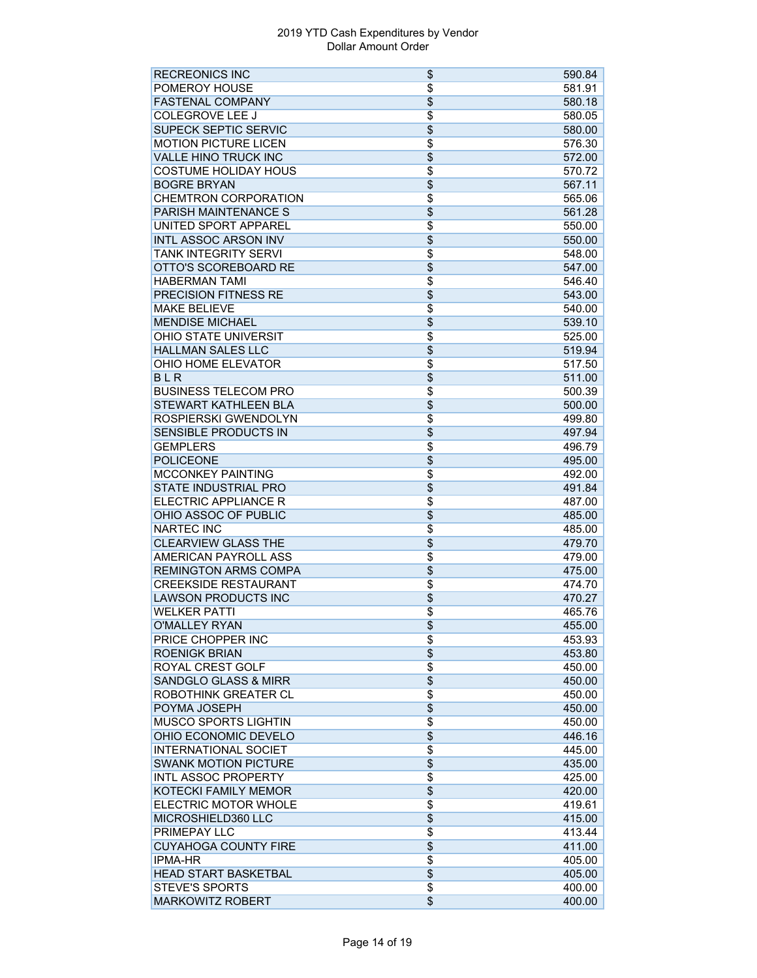| <b>RECREONICS INC</b>           | \$              | 590.84 |
|---------------------------------|-----------------|--------|
| POMEROY HOUSE                   | \$              | 581.91 |
| <b>FASTENAL COMPANY</b>         | $\overline{\$}$ | 580.18 |
| <b>COLEGROVE LEE J</b>          | \$              | 580.05 |
| <b>SUPECK SEPTIC SERVIC</b>     | $\overline{\$}$ | 580.00 |
| <b>MOTION PICTURE LICEN</b>     | $\overline{\$}$ | 576.30 |
| <b>VALLE HINO TRUCK INC</b>     | \$              | 572.00 |
| <b>COSTUME HOLIDAY HOUS</b>     | \$              | 570.72 |
| <b>BOGRE BRYAN</b>              | $\overline{\$}$ | 567.11 |
| <b>CHEMTRON CORPORATION</b>     | $\overline{\$}$ | 565.06 |
| <b>PARISH MAINTENANCE S</b>     | $\overline{\$}$ | 561.28 |
| UNITED SPORT APPAREL            | $\overline{\$}$ | 550.00 |
| <b>INTL ASSOC ARSON INV</b>     | $\overline{\$}$ | 550.00 |
| TANK INTEGRITY SERVI            | $\overline{\$}$ | 548.00 |
| OTTO'S SCOREBOARD RE            | \$              | 547.00 |
| <b>HABERMAN TAMI</b>            | $\overline{\$}$ | 546.40 |
| <b>PRECISION FITNESS RE</b>     | $\overline{\$}$ | 543.00 |
| <b>MAKE BELIEVE</b>             | \$              | 540.00 |
| <b>MENDISE MICHAEL</b>          | $\overline{\$}$ | 539.10 |
| <b>OHIO STATE UNIVERSIT</b>     | \$              | 525.00 |
| <b>HALLMAN SALES LLC</b>        | $\overline{\$}$ | 519.94 |
| OHIO HOME ELEVATOR              | $\overline{\$}$ | 517.50 |
| <b>BLR</b>                      | \$              | 511.00 |
| <b>BUSINESS TELECOM PRO</b>     | $\overline{\$}$ | 500.39 |
| <b>STEWART KATHLEEN BLA</b>     | $\overline{\$}$ | 500.00 |
| ROSPIERSKI GWENDOLYN            | \$              | 499.80 |
| SENSIBLE PRODUCTS IN            | $\overline{\$}$ | 497.94 |
| <b>GEMPLERS</b>                 | $\overline{\$}$ | 496.79 |
| <b>POLICEONE</b>                | $\overline{\$}$ | 495.00 |
| <b>MCCONKEY PAINTING</b>        | $\overline{\$}$ | 492.00 |
| <b>STATE INDUSTRIAL PRO</b>     | \$              | 491.84 |
| ELECTRIC APPLIANCE R            | $\overline{\$}$ | 487.00 |
| OHIO ASSOC OF PUBLIC            | $\overline{\$}$ | 485.00 |
| <b>NARTEC INC</b>               | \$              | 485.00 |
| <b>CLEARVIEW GLASS THE</b>      | $\overline{\$}$ | 479.70 |
| AMERICAN PAYROLL ASS            | $\overline{\$}$ | 479.00 |
| <b>REMINGTON ARMS COMPA</b>     | $\overline{\$}$ | 475.00 |
| <b>CREEKSIDE RESTAURANT</b>     | \$              | 474.70 |
| <b>LAWSON PRODUCTS INC</b>      | \$              | 470.27 |
| <b>WELKER PATTI</b>             | $\overline{\$}$ | 465.76 |
| O'MALLEY RYAN                   | \$              | 455.00 |
| PRICE CHOPPER INC               | \$              | 453.93 |
| <b>ROENIGK BRIAN</b>            | \$              | 453.80 |
| ROYAL CREST GOLF                | \$              | 450.00 |
| <b>SANDGLO GLASS &amp; MIRR</b> | $\overline{\$}$ | 450.00 |
| <b>ROBOTHINK GREATER CL</b>     | \$              | 450.00 |
| POYMA JOSEPH                    | \$              | 450.00 |
| <b>MUSCO SPORTS LIGHTIN</b>     | \$              | 450.00 |
| OHIO ECONOMIC DEVELO            | \$              | 446.16 |
| <b>INTERNATIONAL SOCIET</b>     | \$              | 445.00 |
| <b>SWANK MOTION PICTURE</b>     | \$              | 435.00 |
| <b>INTL ASSOC PROPERTY</b>      | $\overline{\$}$ | 425.00 |
| KOTECKI FAMILY MEMOR            | \$              | 420.00 |
| ELECTRIC MOTOR WHOLE            | \$              | 419.61 |
| MICROSHIELD360 LLC              | \$              | 415.00 |
| <b>PRIMEPAY LLC</b>             | $\overline{\$}$ | 413.44 |
| <b>CUYAHOGA COUNTY FIRE</b>     | \$              | 411.00 |
| <b>IPMA-HR</b>                  | $\overline{\$}$ | 405.00 |
| <b>HEAD START BASKETBAL</b>     | $\overline{\$}$ | 405.00 |
| <b>STEVE'S SPORTS</b>           | $\overline{\$}$ | 400.00 |
| <b>MARKOWITZ ROBERT</b>         | $\overline{\$}$ | 400.00 |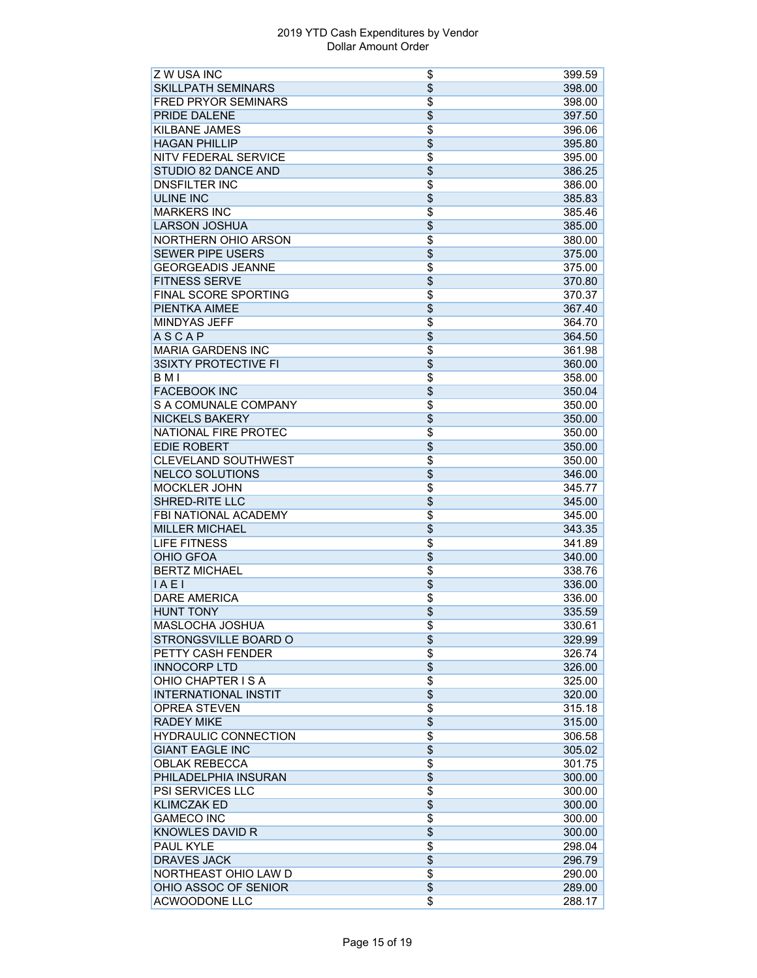| Z W USA INC                 | \$              | 399.59 |
|-----------------------------|-----------------|--------|
| <b>SKILLPATH SEMINARS</b>   | $\overline{\$}$ | 398.00 |
| <b>FRED PRYOR SEMINARS</b>  | $\overline{\$}$ | 398.00 |
| PRIDE DALENE                | \$              | 397.50 |
| KILBANE JAMES               | \$              | 396.06 |
| <b>HAGAN PHILLIP</b>        | \$              | 395.80 |
| NITV FEDERAL SERVICE        | $\overline{\$}$ | 395.00 |
| STUDIO 82 DANCE AND         | $\overline{\$}$ | 386.25 |
| <b>DNSFILTER INC</b>        | $\overline{\$}$ | 386.00 |
| <b>ULINE INC</b>            | $\overline{\$}$ | 385.83 |
| <b>MARKERS INC</b>          | \$              | 385.46 |
| <b>LARSON JOSHUA</b>        | \$              | 385.00 |
| NORTHERN OHIO ARSON         | \$              | 380.00 |
| <b>SEWER PIPE USERS</b>     | $\overline{\$}$ | 375.00 |
| <b>GEORGEADIS JEANNE</b>    | $\overline{\$}$ | 375.00 |
| <b>FITNESS SERVE</b>        | $\overline{\$}$ | 370.80 |
| FINAL SCORE SPORTING        | $\overline{\$}$ | 370.37 |
| PIENTKA AIMEE               | $\overline{\$}$ | 367.40 |
| <b>MINDYAS JEFF</b>         | \$              | 364.70 |
| <b>ASCAP</b>                |                 | 364.50 |
|                             | \$              |        |
| <b>MARIA GARDENS INC</b>    | \$              | 361.98 |
| <b>3SIXTY PROTECTIVE FI</b> | \$              | 360.00 |
| B <sub>M</sub>              | $\overline{\$}$ | 358.00 |
| <b>FACEBOOK INC</b>         | $\overline{\$}$ | 350.04 |
| S A COMUNALE COMPANY        | $\overline{\$}$ | 350.00 |
| <b>NICKELS BAKERY</b>       | \$              | 350.00 |
| NATIONAL FIRE PROTEC        | \$              | 350.00 |
| <b>EDIE ROBERT</b>          | $\overline{\$}$ | 350.00 |
| <b>CLEVELAND SOUTHWEST</b>  | $\overline{\$}$ | 350.00 |
| <b>NELCO SOLUTIONS</b>      | \$              | 346.00 |
| <b>MOCKLER JOHN</b>         | \$              | 345.77 |
| <b>SHRED-RITE LLC</b>       | $\overline{\$}$ | 345.00 |
| FBI NATIONAL ACADEMY        | \$              | 345.00 |
| <b>MILLER MICHAEL</b>       | \$              | 343.35 |
| <b>LIFE FITNESS</b>         | $\overline{\$}$ | 341.89 |
| <b>OHIO GFOA</b>            | \$              | 340.00 |
| <b>BERTZ MICHAEL</b>        | $\overline{\$}$ | 338.76 |
| IAE1                        | \$              | 336.00 |
| <b>DARE AMERICA</b>         | \$              | 336.00 |
| <b>HUNT TONY</b>            | \$              | 335.59 |
| MASLOCHA JOSHUA             | \$              | 330.61 |
| STRONGSVILLE BOARD O        | $\overline{\$}$ | 329.99 |
| PETTY CASH FENDER           | $\overline{\$}$ | 326.74 |
| <b>INNOCORP LTD</b>         | \$              | 326.00 |
| OHIO CHAPTER IS A           | $\overline{\$}$ | 325.00 |
| <b>INTERNATIONAL INSTIT</b> | $\overline{\$}$ | 320.00 |
| <b>OPREA STEVEN</b>         | \$              | 315.18 |
| <b>RADEY MIKE</b>           | $\overline{\$}$ | 315.00 |
| <b>HYDRAULIC CONNECTION</b> | $\overline{\$}$ | 306.58 |
| <b>GIANT EAGLE INC</b>      | $\overline{\$}$ | 305.02 |
| <b>OBLAK REBECCA</b>        | $\overline{\$}$ | 301.75 |
| PHILADELPHIA INSURAN        | $\overline{\$}$ | 300.00 |
| PSI SERVICES LLC            | $\overline{\$}$ | 300.00 |
| <b>KLIMCZAK ED</b>          | \$              | 300.00 |
| <b>GAMECO INC</b>           | \$              | 300.00 |
| <b>KNOWLES DAVID R</b>      | \$              | 300.00 |
| <b>PAUL KYLE</b>            | $\overline{\$}$ | 298.04 |
| <b>DRAVES JACK</b>          | $\overline{\$}$ | 296.79 |
| NORTHEAST OHIO LAW D        | $\overline{\$}$ | 290.00 |
| OHIO ASSOC OF SENIOR        | $\overline{\$}$ | 289.00 |
|                             | \$              |        |
| ACWOODONE LLC               |                 | 288.17 |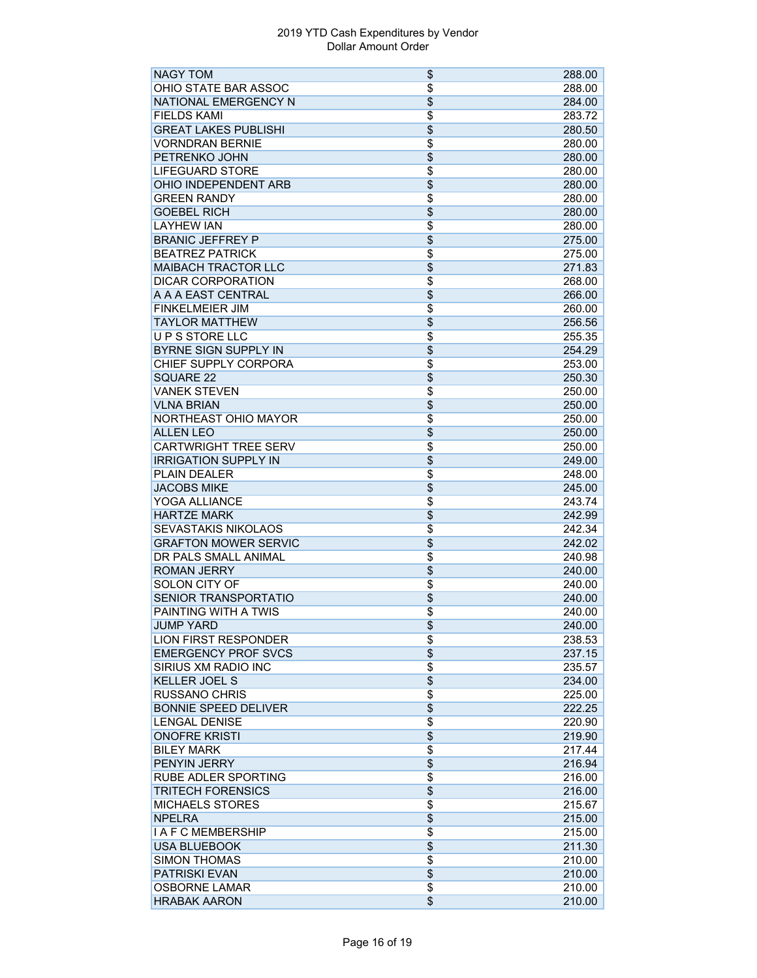| <b>NAGY TOM</b>             | \$              | 288.00 |
|-----------------------------|-----------------|--------|
| OHIO STATE BAR ASSOC        | $\overline{\$}$ | 288.00 |
| NATIONAL EMERGENCY N        | $\overline{\$}$ | 284.00 |
| <b>FIELDS KAMI</b>          | $\overline{\$}$ | 283.72 |
| <b>GREAT LAKES PUBLISHI</b> | \$              | 280.50 |
| <b>VORNDRAN BERNIE</b>      | \$              | 280.00 |
| PETRENKO JOHN               | $\overline{\$}$ | 280.00 |
| <b>LIFEGUARD STORE</b>      | $\overline{\$}$ | 280.00 |
| OHIO INDEPENDENT ARB        | $\overline{\$}$ | 280.00 |
| <b>GREEN RANDY</b>          | $\overline{\$}$ | 280.00 |
| <b>GOEBEL RICH</b>          | $\overline{\$}$ | 280.00 |
| <b>LAYHEW IAN</b>           | $\overline{\$}$ | 280.00 |
| <b>BRANIC JEFFREY P</b>     | \$              | 275.00 |
| <b>BEATREZ PATRICK</b>      | $\overline{\$}$ | 275.00 |
| <b>MAIBACH TRACTOR LLC</b>  | $\overline{\$}$ | 271.83 |
| <b>DICAR CORPORATION</b>    | $\overline{\$}$ | 268.00 |
| A A A EAST CENTRAL          | $\overline{\$}$ | 266.00 |
| <b>FINKELMEIER JIM</b>      | \$              | 260.00 |
| <b>TAYLOR MATTHEW</b>       | $\overline{\$}$ | 256.56 |
| UPS STORE LLC               | \$              | 255.35 |
| <b>BYRNE SIGN SUPPLY IN</b> | $\overline{\$}$ | 254.29 |
| CHIEF SUPPLY CORPORA        |                 |        |
|                             | \$              | 253.00 |
| <b>SQUARE 22</b>            | \$              | 250.30 |
| <b>VANEK STEVEN</b>         | $\overline{\$}$ | 250.00 |
| <b>VLNA BRIAN</b>           | $\overline{\$}$ | 250.00 |
| NORTHEAST OHIO MAYOR        | $\overline{\$}$ | 250.00 |
| <b>ALLEN LEO</b>            | $\overline{\$}$ | 250.00 |
| <b>CARTWRIGHT TREE SERV</b> | $\overline{\$}$ | 250.00 |
| <b>IRRIGATION SUPPLY IN</b> | $\overline{\$}$ | 249.00 |
| <b>PLAIN DEALER</b>         | $\overline{\$}$ | 248.00 |
| <b>JACOBS MIKE</b>          | \$              | 245.00 |
| YOGA ALLIANCE               | $\overline{\$}$ | 243.74 |
| <b>HARTZE MARK</b>          | $\overline{\$}$ | 242.99 |
| <b>SEVASTAKIS NIKOLAOS</b>  | \$              | 242.34 |
| <b>GRAFTON MOWER SERVIC</b> | $\overline{\$}$ | 242.02 |
| DR PALS SMALL ANIMAL        | \$              | 240.98 |
| <b>ROMAN JERRY</b>          | $\overline{\$}$ | 240.00 |
| SOLON CITY OF               | $\overline{\$}$ | 240.00 |
| SENIOR TRANSPORTATIO        | \$              | 240.00 |
| PAINTING WITH A TWIS        | $\overline{\$}$ | 240.00 |
| <b>JUMP YARD</b>            | \$              | 240.00 |
| <b>LION FIRST RESPONDER</b> | $\overline{\$}$ | 238.53 |
| <b>EMERGENCY PROF SVCS</b>  | \$              | 237.15 |
| SIRIUS XM RADIO INC         | $\overline{\$}$ | 235.57 |
| <b>KELLER JOEL S</b>        | \$              | 234.00 |
| <b>RUSSANO CHRIS</b>        | $\overline{\$}$ | 225.00 |
| <b>BONNIE SPEED DELIVER</b> | $\overline{\$}$ | 222.25 |
| <b>LENGAL DENISE</b>        | \$              | 220.90 |
| <b>ONOFRE KRISTI</b>        | \$              | 219.90 |
| <b>BILEY MARK</b>           | \$              | 217.44 |
| PENYIN JERRY                | $\overline{\$}$ | 216.94 |
| <b>RUBE ADLER SPORTING</b>  | $\overline{\$}$ | 216.00 |
| <b>TRITECH FORENSICS</b>    | $\overline{\$}$ | 216.00 |
| <b>MICHAELS STORES</b>      | $\overline{\$}$ | 215.67 |
| <b>NPELRA</b>               | \$              | 215.00 |
| <b>I A F C MEMBERSHIP</b>   | \$              | 215.00 |
| <b>USA BLUEBOOK</b>         | $\overline{\$}$ | 211.30 |
| <b>SIMON THOMAS</b>         | $\overline{\$}$ | 210.00 |
| <b>PATRISKI EVAN</b>        | \$              | 210.00 |
| <b>OSBORNE LAMAR</b>        | $\overline{\$}$ | 210.00 |
| <b>HRABAK AARON</b>         | \$              | 210.00 |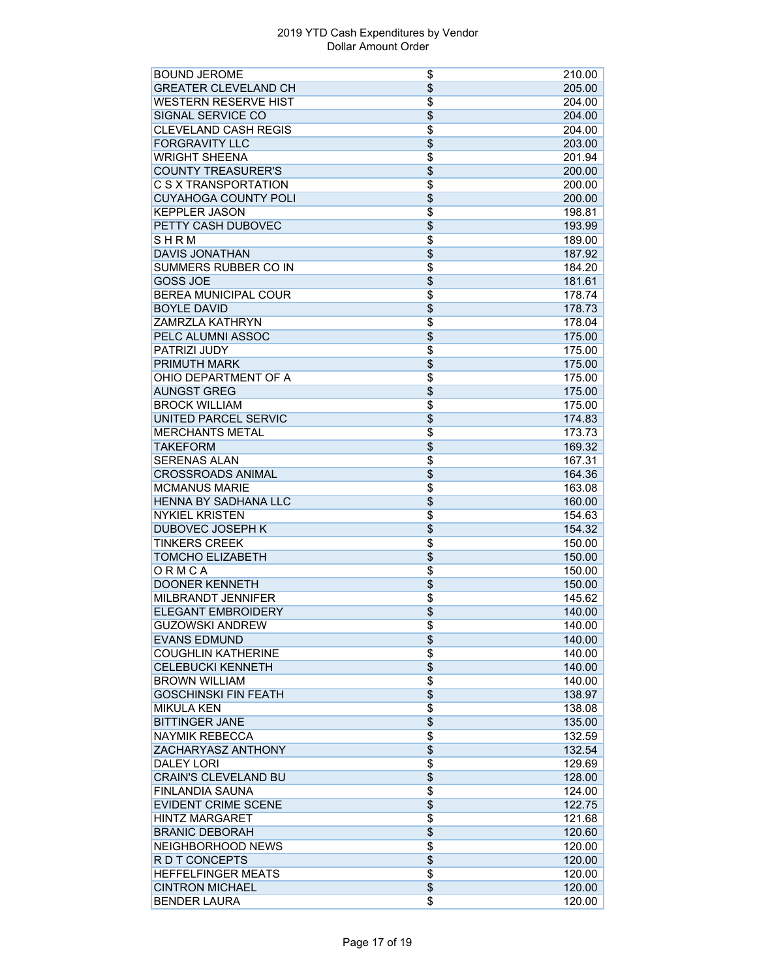| <b>BOUND JEROME</b>         | \$              | 210.00 |
|-----------------------------|-----------------|--------|
| <b>GREATER CLEVELAND CH</b> | \$              | 205.00 |
| <b>WESTERN RESERVE HIST</b> | \$              | 204.00 |
| SIGNAL SERVICE CO           | $\overline{\$}$ | 204.00 |
| <b>CLEVELAND CASH REGIS</b> | \$              | 204.00 |
| <b>FORGRAVITY LLC</b>       | \$              | 203.00 |
| <b>WRIGHT SHEENA</b>        | $\overline{\$}$ | 201.94 |
| <b>COUNTY TREASURER'S</b>   | $\overline{\$}$ | 200.00 |
| C S X TRANSPORTATION        | \$              | 200.00 |
| <b>CUYAHOGA COUNTY POLI</b> | $\overline{\$}$ | 200.00 |
| <b>KEPPLER JASON</b>        | \$              |        |
|                             |                 | 198.81 |
| PETTY CASH DUBOVEC          | $\overline{\$}$ | 193.99 |
| SHRM                        | \$              | 189.00 |
| <b>DAVIS JONATHAN</b>       | \$              | 187.92 |
| SUMMERS RUBBER CO IN        | $\overline{\$}$ | 184.20 |
| <b>GOSS JOE</b>             | \$              | 181.61 |
| <b>BEREA MUNICIPAL COUR</b> | $\overline{\$}$ | 178.74 |
| <b>BOYLE DAVID</b>          | \$              | 178.73 |
| <b>ZAMRZLA KATHRYN</b>      | \$              | 178.04 |
| PELC ALUMNI ASSOC           | \$              | 175.00 |
| <b>PATRIZI JUDY</b>         | \$              | 175.00 |
| <b>PRIMUTH MARK</b>         | $\overline{\$}$ | 175.00 |
| OHIO DEPARTMENT OF A        | $\overline{\$}$ | 175.00 |
| <b>AUNGST GREG</b>          | $\overline{\$}$ | 175.00 |
| <b>BROCK WILLIAM</b>        | $\overline{\$}$ | 175.00 |
| <b>UNITED PARCEL SERVIC</b> | \$              | 174.83 |
| <b>MERCHANTS METAL</b>      | \$              | 173.73 |
| <b>TAKEFORM</b>             | \$              | 169.32 |
| <b>SERENAS ALAN</b>         | \$              | 167.31 |
| <b>CROSSROADS ANIMAL</b>    | \$              | 164.36 |
| <b>MCMANUS MARIE</b>        | \$              | 163.08 |
| <b>HENNA BY SADHANA LLC</b> | $\overline{\$}$ | 160.00 |
| <b>NYKIEL KRISTEN</b>       | \$              | 154.63 |
|                             |                 |        |
| DUBOVEC JOSEPH K            | \$              | 154.32 |
| <b>TINKERS CREEK</b>        | \$              | 150.00 |
| <b>TOMCHO ELIZABETH</b>     | \$              | 150.00 |
| ORMCA                       | \$              | 150.00 |
| <b>DOONER KENNETH</b>       | \$              | 150.00 |
| MILBRANDT JENNIFER          | \$              | 145.62 |
| <b>ELEGANT EMBROIDERY</b>   | \$              | 140.00 |
| <b>GUZOWSKI ANDREW</b>      | \$              | 140.00 |
| <b>EVANS EDMUND</b>         | $\overline{\$}$ | 140.00 |
| <b>COUGHLIN KATHERINE</b>   | \$              | 140.00 |
| <b>CELEBUCKI KENNETH</b>    | \$              | 140.00 |
| <b>BROWN WILLIAM</b>        | \$              | 140.00 |
| <b>GOSCHINSKI FIN FEATH</b> | \$              | 138.97 |
| <b>MIKULA KEN</b>           | \$              | 138.08 |
| <b>BITTINGER JANE</b>       | \$              | 135.00 |
| <b>NAYMIK REBECCA</b>       | \$              | 132.59 |
| ZACHARYASZ ANTHONY          | \$              | 132.54 |
| <b>DALEY LORI</b>           | \$              | 129.69 |
| <b>CRAIN'S CLEVELAND BU</b> | \$              | 128.00 |
| <b>FINLANDIA SAUNA</b>      | $\overline{\$}$ |        |
| <b>EVIDENT CRIME SCENE</b>  |                 | 124.00 |
|                             | $\overline{\$}$ | 122.75 |
| <b>HINTZ MARGARET</b>       | \$              | 121.68 |
| <b>BRANIC DEBORAH</b>       | \$              | 120.60 |
| NEIGHBORHOOD NEWS           | $\overline{\$}$ | 120.00 |
| R D T CONCEPTS              | $\overline{\$}$ | 120.00 |
| <b>HEFFELFINGER MEATS</b>   | $\overline{\$}$ | 120.00 |
| <b>CINTRON MICHAEL</b>      | \$              | 120.00 |
| <b>BENDER LAURA</b>         | \$              | 120.00 |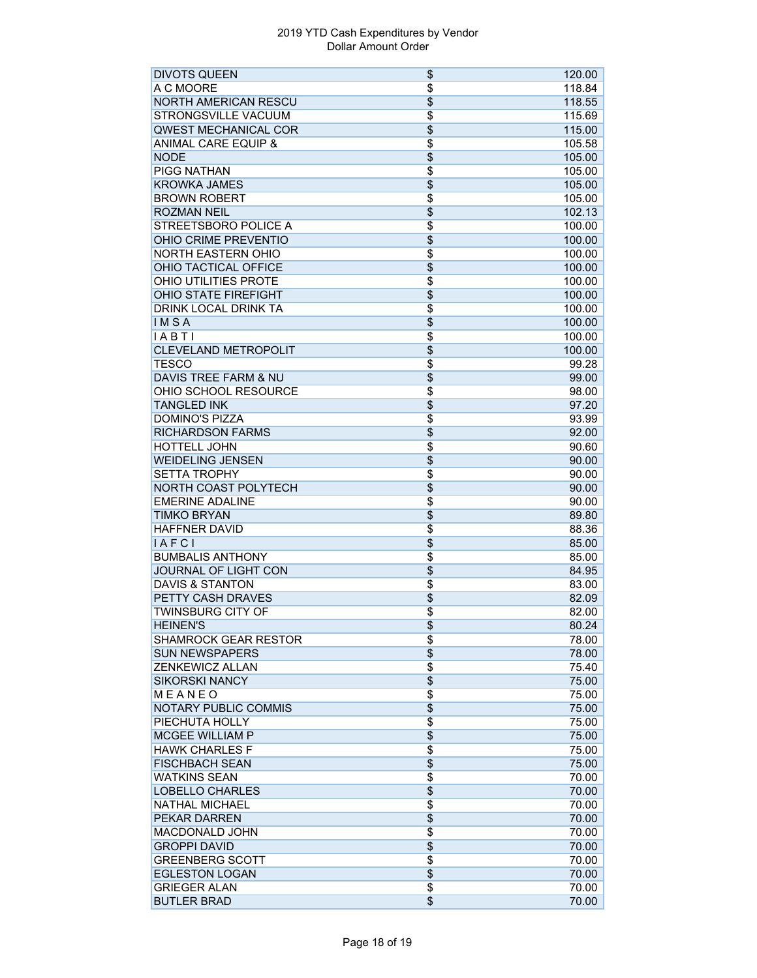| <b>DIVOTS QUEEN</b>                             | \$              | 120.00 |
|-------------------------------------------------|-----------------|--------|
| A C MOORE                                       | $\overline{\$}$ | 118.84 |
| <b>NORTH AMERICAN RESCU</b>                     | $\overline{\$}$ | 118.55 |
| <b>STRONGSVILLE VACUUM</b>                      | $\overline{\$}$ | 115.69 |
| QWEST MECHANICAL COR                            | \$              | 115.00 |
| <b>ANIMAL CARE EQUIP &amp;</b>                  | $\overline{\$}$ | 105.58 |
| <b>NODE</b>                                     | $\overline{\$}$ | 105.00 |
| <b>PIGG NATHAN</b>                              | $\overline{\$}$ | 105.00 |
| <b>KROWKA JAMES</b>                             | $\overline{\$}$ | 105.00 |
| <b>BROWN ROBERT</b>                             | $\overline{\$}$ | 105.00 |
| <b>ROZMAN NEIL</b>                              | $\overline{\$}$ | 102.13 |
| <b>STREETSBORO POLICE A</b>                     | $\overline{\$}$ | 100.00 |
| OHIO CRIME PREVENTIO                            | \$              | 100.00 |
| <b>NORTH EASTERN OHIO</b>                       | $\overline{\$}$ | 100.00 |
| OHIO TACTICAL OFFICE                            | \$              | 100.00 |
| <b>OHIO UTILITIES PROTE</b>                     | $\overline{\$}$ | 100.00 |
| <b>OHIO STATE FIREFIGHT</b>                     | $\overline{\$}$ | 100.00 |
| <b>DRINK LOCAL DRINK TA</b>                     | $\overline{\$}$ | 100.00 |
| IMSA                                            | $\overline{\$}$ | 100.00 |
| IABTI                                           | $\overline{\$}$ | 100.00 |
| <b>CLEVELAND METROPOLIT</b>                     | $\overline{\$}$ | 100.00 |
|                                                 | $\overline{\$}$ |        |
| <b>TESCO</b><br><b>DAVIS TREE FARM &amp; NU</b> | $\overline{\$}$ | 99.28  |
| OHIO SCHOOL RESOURCE                            |                 | 99.00  |
|                                                 | $\overline{\$}$ | 98.00  |
| <b>TANGLED INK</b>                              | $\overline{\$}$ | 97.20  |
| <b>DOMINO'S PIZZA</b>                           | \$              | 93.99  |
| <b>RICHARDSON FARMS</b>                         | $\overline{\$}$ | 92.00  |
| <b>HOTTELL JOHN</b>                             | \$              | 90.60  |
| <b>WEIDELING JENSEN</b>                         | $\overline{\$}$ | 90.00  |
| <b>SETTA TROPHY</b>                             | $\overline{\$}$ | 90.00  |
| NORTH COAST POLYTECH                            | $\overline{\$}$ | 90.00  |
| <b>EMERINE ADALINE</b>                          | \$              | 90.00  |
| <b>TIMKO BRYAN</b>                              | $\overline{\$}$ | 89.80  |
| <b>HAFFNER DAVID</b>                            | $\overline{\$}$ | 88.36  |
| IAFCI                                           | $\overline{\$}$ | 85.00  |
| <b>BUMBALIS ANTHONY</b>                         | $\overline{\$}$ | 85.00  |
| JOURNAL OF LIGHT CON                            | $\overline{\$}$ | 84.95  |
| <b>DAVIS &amp; STANTON</b>                      | $\overline{\$}$ | 83.00  |
| PETTY CASH DRAVES                               | \$              | 82.09  |
| TWINSBURG CITY OF                               | $\overline{\$}$ | 82.00  |
| <b>HEINEN'S</b>                                 | \$              | 80.24  |
| <b>SHAMROCK GEAR RESTOR</b>                     | \$              | 78.00  |
| <b>SUN NEWSPAPERS</b>                           | $\overline{\$}$ | 78.00  |
| <b>ZENKEWICZ ALLAN</b>                          | $\overline{\$}$ | 75.40  |
| <b>SIKORSKI NANCY</b>                           | $\overline{\$}$ | 75.00  |
| MEANEO                                          | $\overline{\$}$ | 75.00  |
| <b>NOTARY PUBLIC COMMIS</b>                     | $\overline{\$}$ | 75.00  |
| PIECHUTA HOLLY                                  | $\overline{\$}$ | 75.00  |
| <b>MCGEE WILLIAM P</b>                          | $\overline{\$}$ | 75.00  |
| <b>HAWK CHARLES F</b>                           | $\overline{\$}$ | 75.00  |
| <b>FISCHBACH SEAN</b>                           | \$              | 75.00  |
| <b>WATKINS SEAN</b>                             | $\overline{\$}$ | 70.00  |
| <b>LOBELLO CHARLES</b>                          | \$              | 70.00  |
| <b>NATHAL MICHAEL</b>                           | $\overline{\$}$ | 70.00  |
| <b>PEKAR DARREN</b>                             | \$              | 70.00  |
| <b>MACDONALD JOHN</b>                           | \$              | 70.00  |
| <b>GROPPI DAVID</b>                             | \$              | 70.00  |
| <b>GREENBERG SCOTT</b>                          | \$              | 70.00  |
| <b>EGLESTON LOGAN</b>                           | $\overline{\$}$ | 70.00  |
| <b>GRIEGER ALAN</b>                             | $\overline{\$}$ | 70.00  |
| <b>BUTLER BRAD</b>                              | $\overline{\$}$ | 70.00  |
|                                                 |                 |        |